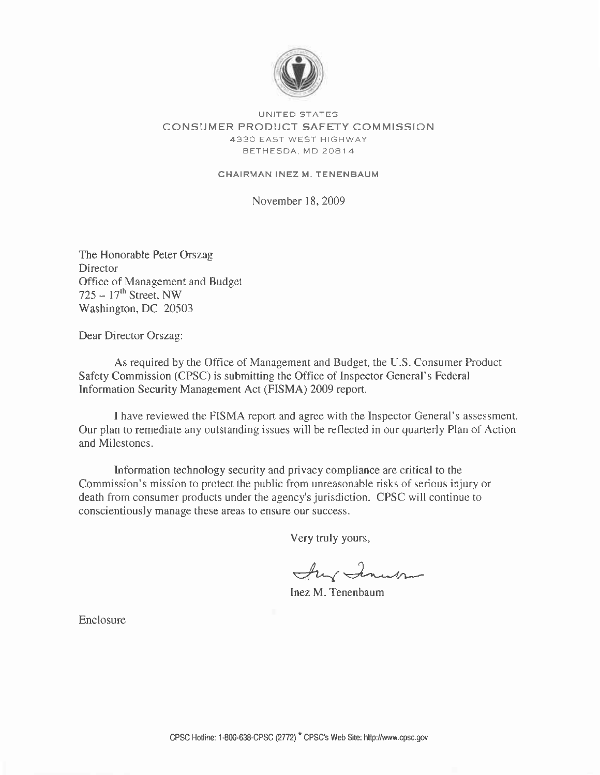

#### UNITED STATES CONSUMER PRODUCT SAFETY COMMISSION 4330 EAST WEST HIGHWAY BETHESDA, MD 20814

#### CHAIRMAN INEZ M. TENENBAUM

November 18, 2009

The Honorable Peter Orszag **Director** Office of.Management and Budget 725 –  $17<sup>th</sup>$  Street, NW Washington, DC 20503

Dear Director Orszag:

As required by the Office of Management and Budget, the U.S. Consumer Product Safety Commission (CPSC) is submitting the Office of Inspector General's Federal Information Security Management Act (FISMA) 2009 report.

I have reviewed the FISMA report and agree with the Inspector General's assessment. Our plan to remediate any outstanding issues will be reflected in our quarterly Plan of Action and Milestones.

Information technology security and privacy compliance are critical to the Commission's mission to protect the public from unreasonable risks of serious injury or death from consumer products under the agency's jurisdiction. CPSC will continue to conscientiously manage these areas to ensure our success.

Very truly yours,

Any Inner

Inez M. Tenenbaum

Enclosure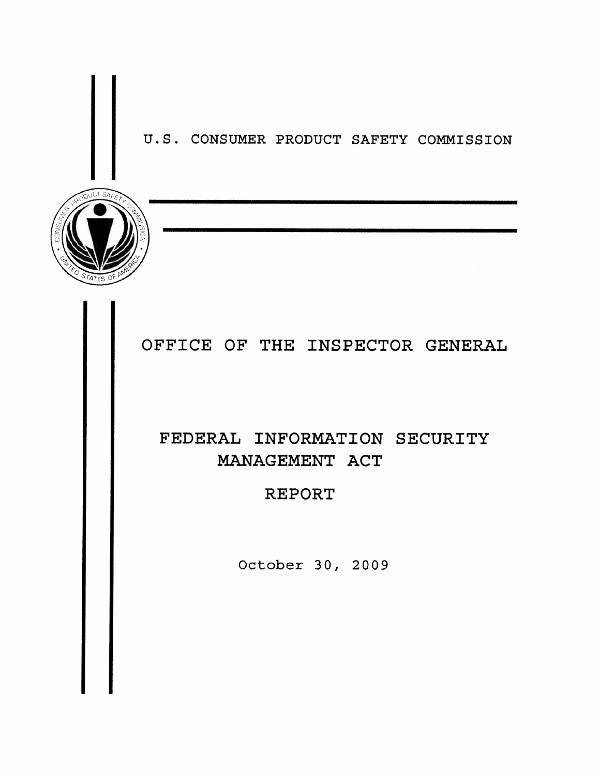U.S. CONSUMER PRODUCT SAFETY COMMISSION



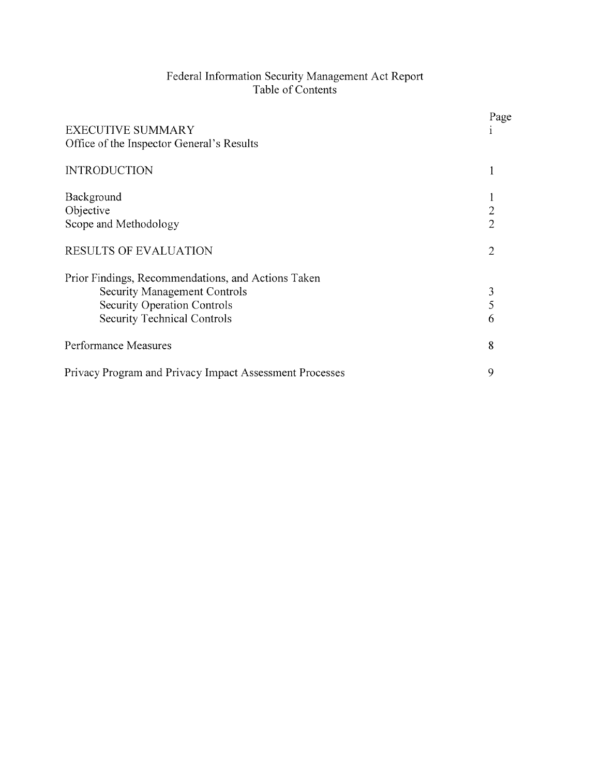# Federal Information Security Management Act Report<br>Table of Contents

| <b>EXECUTIVE SUMMARY</b><br>Office of the Inspector General's Results                                                                                                 | Page                             |
|-----------------------------------------------------------------------------------------------------------------------------------------------------------------------|----------------------------------|
| <b>INTRODUCTION</b>                                                                                                                                                   | 1                                |
| Background<br>Objective<br>Scope and Methodology                                                                                                                      | $\overline{2}$<br>$\overline{2}$ |
| <b>RESULTS OF EVALUATION</b>                                                                                                                                          | 2                                |
| Prior Findings, Recommendations, and Actions Taken<br><b>Security Management Controls</b><br><b>Security Operation Controls</b><br><b>Security Technical Controls</b> | 3<br>5<br>6                      |
| Performance Measures                                                                                                                                                  | 8                                |
| Privacy Program and Privacy Impact Assessment Processes                                                                                                               | 9                                |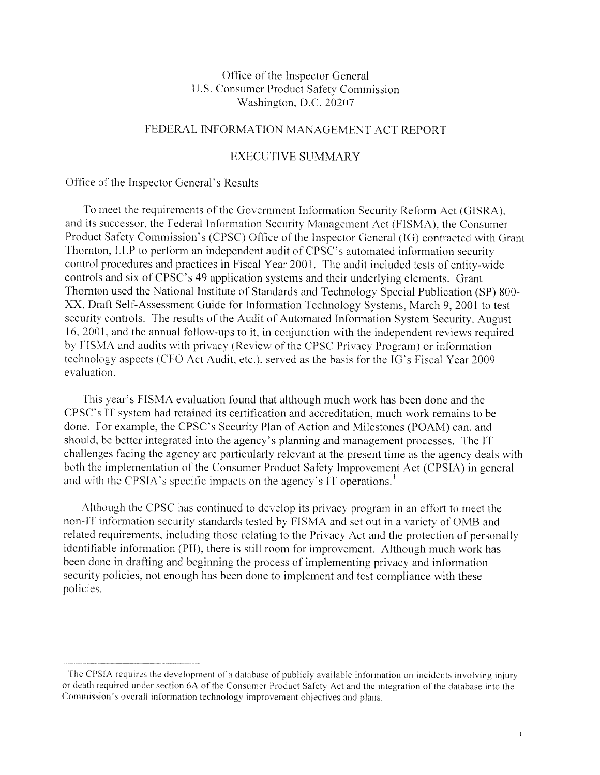#### Office of the Inspector General U.S. Consumer Product Safety Commission Washington, D.C. 20207

#### FEDERAL INFORMATION MANAGEMENT ACT REPORT

#### **EXECUTIVE SUMMARY**

#### Office of the Inspector General's Results

To meet the requirements of the Government Information Security Reform Act (GISRA), and its successor, the Federal Information Security Management Act (FISMA), the Consumer Product Safety Commission's (CPSC) Office of the Inspector General (IG) contracted with Grant Thornton, LLP to perform an independent audit of CPSC's automated information security control procedures and practices in Fiscal Year 2001. The audit included tests of entity-wide controls and six of CPSC's 49 application systems and their underlying elements. Grant Thornton used the National Institute of Standards and Technology Special Publication (SP) 800-XX, Draft Self-Assessment Guide for Information Technology Systems, March 9, 2001 to test security controls. The results of the Audit of Automated Information System Security, August 16, 2001, and the annual follow-ups to it, in conjunction with the independent reviews required by FISMA and audits with privacy (Review of the CPSC Privacy Program) or information technology aspects (CFO Act Audit, etc.), served as the basis for the IG's Fiscal Year 2009 evaluation.

This year's FISMA evaluation found that although much work has been done and the CPSC's IT system had retained its certification and accreditation, much work remains to be done. For example, the CPSC's Security Plan of Action and Milestones (POAM) can, and should, be better integrated into the agency's planning and management processes. The IT challenges facing the agency are particularly relevant at the present time as the agency deals with both the implementation of the Consumer Product Safety Improvement Act (CPSIA) in general and with the CPSIA's specific impacts on the agency's IT operations.<sup>1</sup>

Although the CPSC has continued to develop its privacy program in an effort to meet the non-IT information security standards tested by FISMA and set out in a variety of OMB and related requirements, including those relating to the Privacy Act and the protection of personally identifiable information (PII), there is still room for improvement. Although much work has been done in drafting and beginning the process of implementing privacy and information security policies, not enough has been done to implement and test compliance with these policies.

<sup>&</sup>lt;sup>1</sup> The CPSIA requires the development of a database of publicly available information on incidents involving injury or death required under section 6A of the Consumer Product Safety Act and the integration of the database into the Commission's overall information technology improvement objectives and plans.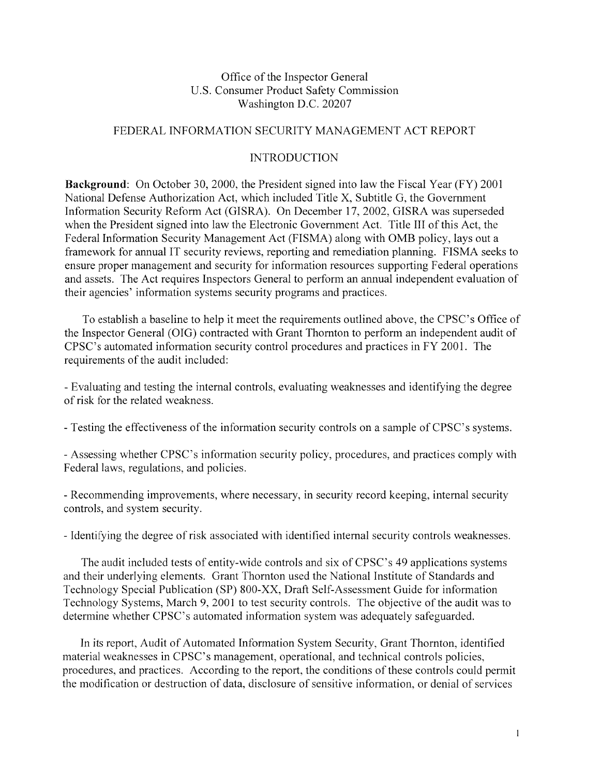#### Office of the Inspector General U.S. Consumer Product Safety Commission Washington D.C. 20207

#### FEDERAL INFORMATION SECURITY MANAGEMENT ACT REPORT

#### **INTRODUCTION**

**Background:** On October 30, 2000, the President signed into law the Fiscal Year (FY) 2001 National Defense Authorization Act, which included Title X, Subtitle G, the Government Information Security Reform Act (GISRA). On December 17, 2002, GISRA was superseded when the President signed into law the Electronic Government Act. Title III of this Act, the Federal Information Security Management Act (FISMA) along with OMB policy, lays out a framework for annual IT security reviews, reporting and remediation planning. FISMA seeks to ensure proper management and security for information resources supporting Federal operations and assets. The Act requires Inspectors General to perform an annual independent evaluation of their agencies' information systems security programs and practices.

To establish a baseline to help it meet the requirements outlined above, the CPSC's Office of the Inspector General (OIG) contracted with Grant Thornton to perform an independent audit of CPSC's automated information security control procedures and practices in FY 2001. The requirements of the audit included:

- Evaluating and testing the internal controls, evaluating weaknesses and identifying the degree of risk for the related weakness.

- Testing the effectiveness of the information security controls on a sample of CPSC's systems.

- Assessing whether CPSC's information security policy, procedures, and practices comply with Federal laws, regulations, and policies.

- Recommending improvements, where necessary, in security record keeping, internal security controls, and system security.

- Identifying the degree of risk associated with identified internal security controls weaknesses.

The audit included tests of entity-wide controls and six of CPSC's 49 applications systems and their underlying elements. Grant Thornton used the National Institute of Standards and Technology Special Publication (SP) 800-XX, Draft Self-Assessment Guide for information Technology Systems, March 9, 2001 to test security controls. The objective of the audit was to determine whether CPSC's automated information system was adequately safeguarded.

In its report, Audit of Automated Information System Security, Grant Thornton, identified material weaknesses in CPSC's management, operational, and technical controls policies, procedures, and practices. According to the report, the conditions of these controls could permit the modification or destruction of data, disclosure of sensitive information, or denial of services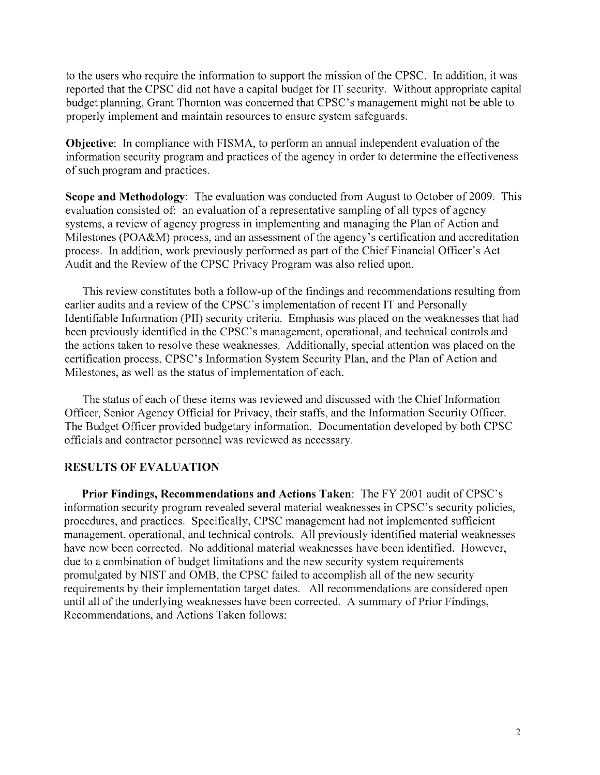to the users who require the information to support the mission of the CPSC. In addition, it was reported that the CPSC did not have a capital budget for IT security. Without appropriate capital budget planning, Grant Thornton was concerned that CPSC's management might not be able to properly implement and maintain resources to ensure system safeguards.

**Objective:** In compliance with FISMA, to perform an annual independent evaluation of the information security program and practices of the agency in order to determine the effectiveness of such program and practices.

Scope and Methodology: The evaluation was conducted from August to October of 2009. This evaluation consisted of: an evaluation of a representative sampling of all types of agency systems, a review of agency progress in implementing and managing the Plan of Action and Milestones (POA&M) process, and an assessment of the agency's certification and accreditation process. In addition, work previously performed as part of the Chief Financial Officer's Act Audit and the Review of the CPSC Privacy Program was also relied upon.

This review constitutes both a follow-up of the findings and recommendations resulting from earlier audits and a review of the CPSC's implementation of recent IT and Personally Identifiable Information (PII) security criteria. Emphasis was placed on the weaknesses that had been previously identified in the CPSC's management, operational, and technical controls and the actions taken to resolve these weaknesses. Additionally, special attention was placed on the certification process, CPSC's Information System Security Plan, and the Plan of Action and Milestones, as well as the status of implementation of each.

The status of each of these items was reviewed and discussed with the Chief Information Officer, Senior Agency Official for Privacy, their staffs, and the Information Security Officer. The Budget Officer provided budgetary information. Documentation developed by both CPSC officials and contractor personnel was reviewed as necessary.

#### **RESULTS OF EVALUATION**

Prior Findings, Recommendations and Actions Taken: The FY 2001 audit of CPSC's information security program revealed several material weaknesses in CPSC's security policies, procedures, and practices. Specifically, CPSC management had not implemented sufficient management, operational, and technical controls. All previously identified material weaknesses have now been corrected. No additional material weaknesses have been identified. However, due to a combination of budget limitations and the new security system requirements promulgated by NIST and OMB, the CPSC failed to accomplish all of the new security requirements by their implementation target dates. All recommendations are considered open until all of the underlying weaknesses have been corrected. A summary of Prior Findings, Recommendations, and Actions Taken follows: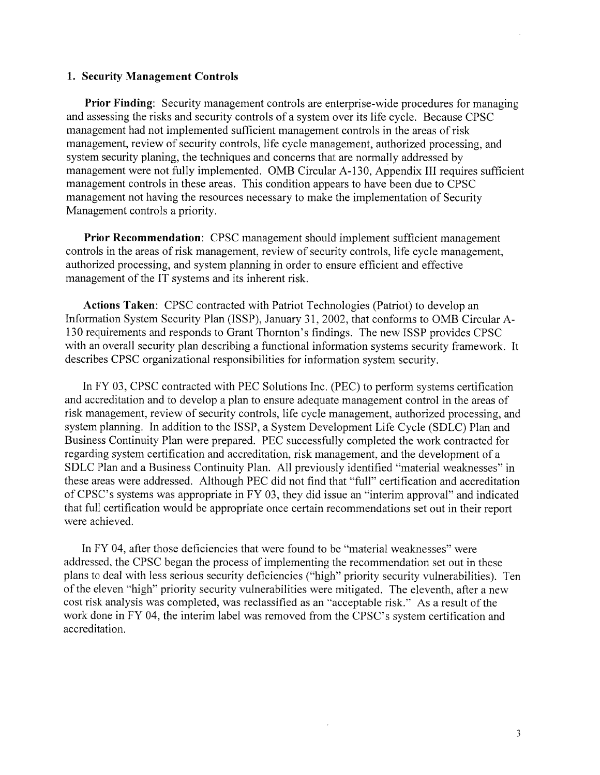#### 1. Security Management Controls

**Prior Finding:** Security management controls are enterprise-wide procedures for managing and assessing the risks and security controls of a system over its life cycle. Because CPSC management had not implemented sufficient management controls in the areas of risk management, review of security controls, life cycle management, authorized processing, and system security planing, the techniques and concerns that are normally addressed by management were not fully implemented. OMB Circular A-130, Appendix III requires sufficient management controls in these areas. This condition appears to have been due to CPSC management not having the resources necessary to make the implementation of Security Management controls a priority.

Prior Recommendation: CPSC management should implement sufficient management controls in the areas of risk management, review of security controls, life cycle management, authorized processing, and system planning in order to ensure efficient and effective management of the IT systems and its inherent risk.

Actions Taken: CPSC contracted with Patriot Technologies (Patriot) to develop an Information System Security Plan (ISSP), January 31, 2002, that conforms to OMB Circular A-130 requirements and responds to Grant Thornton's findings. The new ISSP provides CPSC with an overall security plan describing a functional information systems security framework. It describes CPSC organizational responsibilities for information system security.

In FY 03, CPSC contracted with PEC Solutions Inc. (PEC) to perform systems certification and accreditation and to develop a plan to ensure adequate management control in the areas of risk management, review of security controls, life cycle management, authorized processing, and system planning. In addition to the ISSP, a System Development Life Cycle (SDLC) Plan and Business Continuity Plan were prepared. PEC successfully completed the work contracted for regarding system certification and accreditation, risk management, and the development of a SDLC Plan and a Business Continuity Plan. All previously identified "material weaknesses" in these areas were addressed. Although PEC did not find that "full" certification and accreditation of CPSC's systems was appropriate in FY 03, they did issue an "interim approval" and indicated that full certification would be appropriate once certain recommendations set out in their report were achieved.

In FY 04, after those deficiencies that were found to be "material weaknesses" were addressed, the CPSC began the process of implementing the recommendation set out in these plans to deal with less serious security deficiencies ("high" priority security vulnerabilities). Ten of the eleven "high" priority security vulnerabilities were mitigated. The eleventh, after a new cost risk analysis was completed, was reclassified as an "acceptable risk." As a result of the work done in FY 04, the interim label was removed from the CPSC's system certification and accreditation.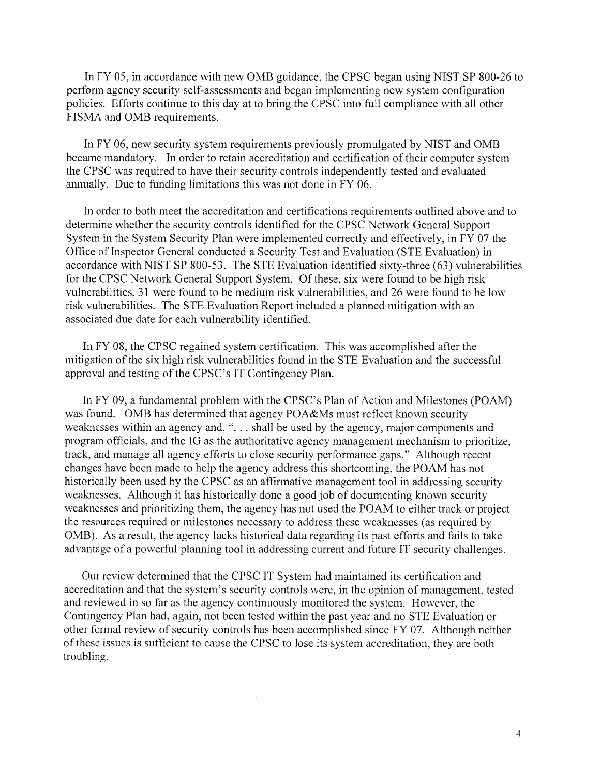In FY 05, in accordance with new OMB guidance, the CPSC began using NIST SP 800-26 to perform agency security self-assessments and began implementing new system configuration policies. Efforts continue to this day at to bring the CPSC into full compliance with all other FISMA and OMB requirements.

In FY 06, new security system requirements previously promulgated by NIST and OMB became mandatory. In order to retain accreditation and certification of their computer system the CPSC was required to have their security controls independently tested and evaluated annually. Due to funding limitations this was not done in FY 06.

In order to both meet the accreditation and certifications requirements outlined above and to determine whether the security controls identified for the CPSC Network General Support System in the System Security Plan were implemented correctly and effectively, in FY 07 the Office of Inspector General conducted a Security Test and Evaluation (STE Evaluation) in accordance with NIST SP 800-53. The STE Evaluation identified sixty-three (63) vulnerabilities for the CPSC Network General Support System. Of these, six were found to be high risk vulnerabilities, 31 were found to be medium risk vulnerabilities, and 26 were found to be low risk vulnerabilities. The STE Evaluation Report included a planned mitigation with an associated due date for each vulnerability identified.

In FY 08, the CPSC regained system certification. This was accomplished after the mitigation of the six high risk vulnerabilities found in the STE Evaluation and the successful approval and testing of the CPSC's IT Contingency Plan.

In FY 09, a fundamental problem with the CPSC's Plan of Action and Milestones (POAM) was found. OMB has determined that agency POA&Ms must reflect known security weaknesses within an agency and, "... shall be used by the agency, major components and program officials, and the IG as the authoritative agency management mechanism to prioritize, track, and manage all agency efforts to close security performance gaps." Although recent changes have been made to help the agency address this shortcoming, the POAM has not historically been used by the CPSC as an affirmative management tool in addressing security weaknesses. Although it has historically done a good job of documenting known security weaknesses and prioritizing them, the agency has not used the POAM to either track or project the resources required or milestones necessary to address these weaknesses (as required by OMB). As a result, the agency lacks historical data regarding its past efforts and fails to take advantage of a powerful planning tool in addressing current and future IT security challenges.

Our review determined that the CPSC IT System had maintained its certification and accreditation and that the system's security controls were, in the opinion of management, tested and reviewed in so far as the agency continuously monitored the system. However, the Contingency Plan had, again, not been tested within the past year and no STE Evaluation or other formal review of security controls has been accomplished since FY 07. Although neither of these issues is sufficient to cause the CPSC to lose its system accreditation, they are both troubling.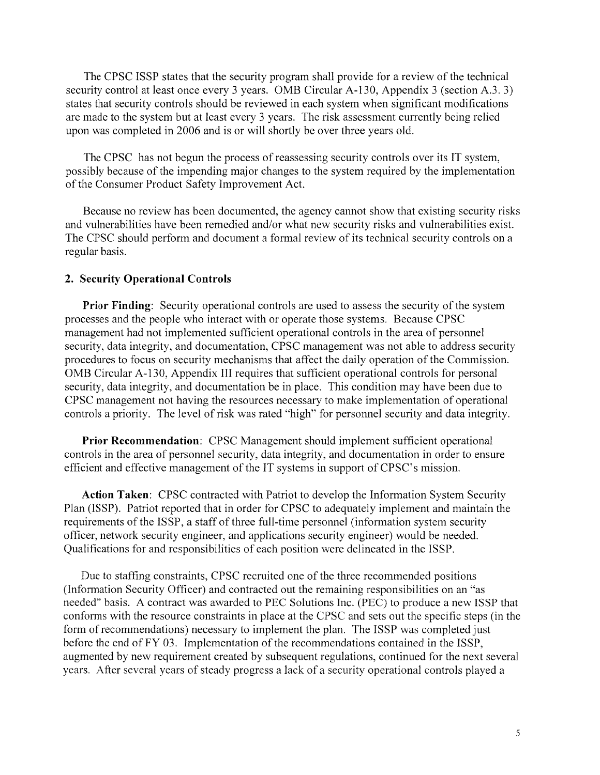The CPSC ISSP states that the security program shall provide for a review of the technical security control at least once every 3 years. OMB Circular A-130, Appendix 3 (section A.3. 3) states that security controls should be reviewed in each system when significant modifications are made to the system but at least every 3 years. The risk assessment currently being relied upon was completed in 2006 and is or will shortly be over three years old.

The CPSC has not begun the process of reassessing security controls over its IT system, possibly because of the impending major changes to the system required by the implementation of the Consumer Product Safety Improvement Act.

Because no review has been documented, the agency cannot show that existing security risks and vulnerabilities have been remedied and/or what new security risks and vulnerabilities exist. The CPSC should perform and document a formal review of its technical security controls on a regular basis.

#### 2. Security Operational Controls

**Prior Finding:** Security operational controls are used to assess the security of the system processes and the people who interact with or operate those systems. Because CPSC management had not implemented sufficient operational controls in the area of personnel security, data integrity, and documentation, CPSC management was not able to address security procedures to focus on security mechanisms that affect the daily operation of the Commission. OMB Circular A-130, Appendix III requires that sufficient operational controls for personal security, data integrity, and documentation be in place. This condition may have been due to CPSC management not having the resources necessary to make implementation of operational controls a priority. The level of risk was rated "high" for personnel security and data integrity.

Prior Recommendation: CPSC Management should implement sufficient operational controls in the area of personnel security, data integrity, and documentation in order to ensure efficient and effective management of the IT systems in support of CPSC's mission.

Action Taken: CPSC contracted with Patriot to develop the Information System Security Plan (ISSP). Patriot reported that in order for CPSC to adequately implement and maintain the requirements of the ISSP, a staff of three full-time personnel (information system security officer, network security engineer, and applications security engineer) would be needed. Qualifications for and responsibilities of each position were delineated in the ISSP.

Due to staffing constraints, CPSC recruited one of the three recommended positions (Information Security Officer) and contracted out the remaining responsibilities on an "as needed" basis. A contract was awarded to PEC Solutions Inc. (PEC) to produce a new ISSP that conforms with the resource constraints in place at the CPSC and sets out the specific steps (in the form of recommendations) necessary to implement the plan. The ISSP was completed just before the end of FY 03. Implementation of the recommendations contained in the ISSP, augmented by new requirement created by subsequent regulations, continued for the next several years. After several years of steady progress a lack of a security operational controls played a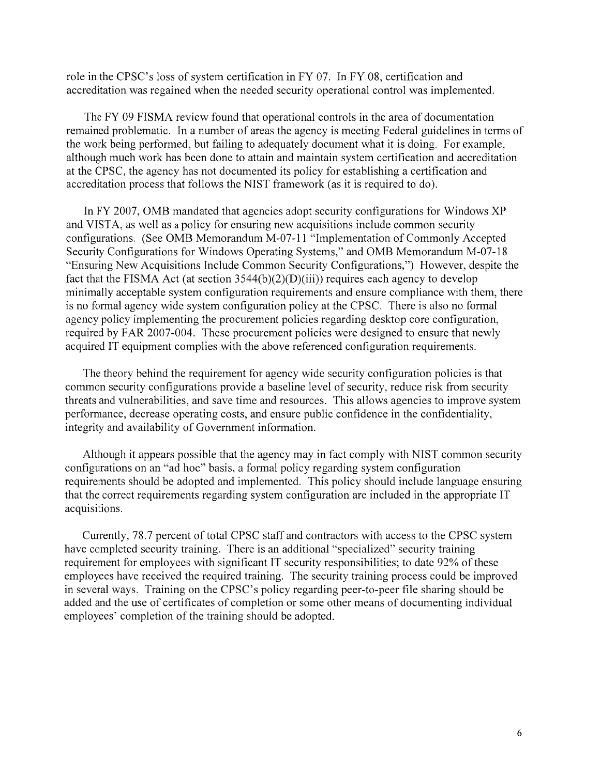role in the CPSC's loss of system certification in FY 07. In FY 08, certification and accreditation was regained when the needed security operational control was implemented.

The FY 09 FISMA review found that operational controls in the area of documentation remained problematic. In a number of areas the agency is meeting Federal guidelines in terms of the work being performed, but failing to adequately document what it is doing. For example, although much work has been done to attain and maintain system certification and accreditation at the CPSC, the agency has not documented its policy for establishing a certification and accreditation process that follows the NIST framework (as it is required to do).

In FY 2007, OMB mandated that agencies adopt security configurations for Windows XP and VISTA, as well as a policy for ensuring new acquisitions include common security configurations. (See OMB Memorandum M-07-11 "Implementation of Commonly Accepted Security Configurations for Windows Operating Systems," and OMB Memorandum M-07-18 "Ensuring New Acquisitions Include Common Security Configurations," However, despite the fact that the FISMA Act (at section  $3544(b)(2)(D)(iii)$ ) requires each agency to develop minimally acceptable system configuration requirements and ensure compliance with them, there is no formal agency wide system configuration policy at the CPSC. There is also no formal agency policy implementing the procurement policies regarding desktop core configuration, required by FAR 2007-004. These procurement policies were designed to ensure that newly acquired IT equipment complies with the above referenced configuration requirements.

The theory behind the requirement for agency wide security configuration policies is that common security configurations provide a baseline level of security, reduce risk from security threats and vulnerabilities, and save time and resources. This allows agencies to improve system performance, decrease operating costs, and ensure public confidence in the confidentiality, integrity and availability of Government information.

Although it appears possible that the agency may in fact comply with NIST common security configurations on an "ad hoc" basis, a formal policy regarding system configuration requirements should be adopted and implemented. This policy should include language ensuring that the correct requirements regarding system configuration are included in the appropriate IT acquisitions.

Currently, 78.7 percent of total CPSC staff and contractors with access to the CPSC system have completed security training. There is an additional "specialized" security training requirement for employees with significant IT security responsibilities; to date 92% of these employees have received the required training. The security training process could be improved in several ways. Training on the CPSC's policy regarding peer-to-peer file sharing should be added and the use of certificates of completion or some other means of documenting individual employees' completion of the training should be adopted.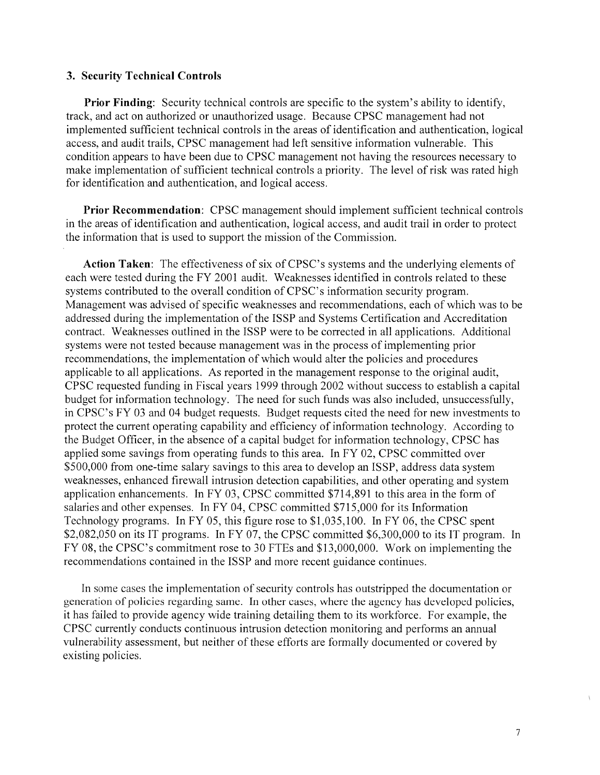#### 3. Security Technical Controls

**Prior Finding:** Security technical controls are specific to the system's ability to identify, track, and act on authorized or unauthorized usage. Because CPSC management had not implemented sufficient technical controls in the areas of identification and authentication, logical access, and audit trails, CPSC management had left sensitive information vulnerable. This condition appears to have been due to CPSC management not having the resources necessary to make implementation of sufficient technical controls a priority. The level of risk was rated high for identification and authentication, and logical access.

Prior Recommendation: CPSC management should implement sufficient technical controls in the areas of identification and authentication, logical access, and audit trail in order to protect the information that is used to support the mission of the Commission.

**Action Taken:** The effectiveness of six of CPSC's systems and the underlying elements of each were tested during the FY 2001 audit. Weaknesses identified in controls related to these systems contributed to the overall condition of CPSC's information security program. Management was advised of specific weaknesses and recommendations, each of which was to be addressed during the implementation of the ISSP and Systems Certification and Accreditation contract. Weaknesses outlined in the ISSP were to be corrected in all applications. Additional systems were not tested because management was in the process of implementing prior recommendations, the implementation of which would alter the policies and procedures applicable to all applications. As reported in the management response to the original audit, CPSC requested funding in Fiscal years 1999 through 2002 without success to establish a capital budget for information technology. The need for such funds was also included, unsuccessfully, in CPSC's FY 03 and 04 budget requests. Budget requests cited the need for new investments to protect the current operating capability and efficiency of information technology. According to the Budget Officer, in the absence of a capital budget for information technology, CPSC has applied some savings from operating funds to this area. In FY 02, CPSC committed over \$500,000 from one-time salary savings to this area to develop an ISSP, address data system weaknesses, enhanced firewall intrusion detection capabilities, and other operating and system application enhancements. In FY 03, CPSC committed \$714,891 to this area in the form of salaries and other expenses. In FY 04, CPSC committed \$715,000 for its Information Technology programs. In FY 05, this figure rose to \$1,035,100. In FY 06, the CPSC spent \$2,082,050 on its IT programs. In FY 07, the CPSC committed \$6,300,000 to its IT program. In FY 08, the CPSC's commitment rose to 30 FTEs and \$13,000,000. Work on implementing the recommendations contained in the ISSP and more recent guidance continues.

In some cases the implementation of security controls has outstripped the documentation or generation of policies regarding same. In other cases, where the agency has developed policies, it has failed to provide agency wide training detailing them to its workforce. For example, the CPSC currently conducts continuous intrusion detection monitoring and performs an annual vulnerability assessment, but neither of these efforts are formally documented or covered by existing policies.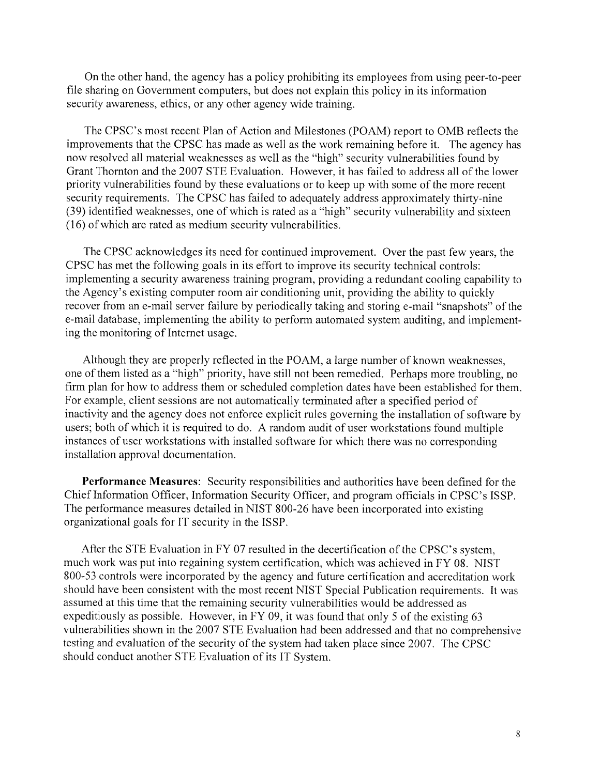On the other hand, the agency has a policy prohibiting its employees from using peer-to-peer file sharing on Government computers, but does not explain this policy in its information security awareness, ethics, or any other agency wide training.

The CPSC's most recent Plan of Action and Milestones (POAM) report to OMB reflects the improvements that the CPSC has made as well as the work remaining before it. The agency has now resolved all material weaknesses as well as the "high" security vulnerabilities found by Grant Thornton and the 2007 STE Evaluation. However, it has failed to address all of the lower priority vulnerabilities found by these evaluations or to keep up with some of the more recent security requirements. The CPSC has failed to adequately address approximately thirty-nine (39) identified weaknesses, one of which is rated as a "high" security vulnerability and sixteen (16) of which are rated as medium security vulnerabilities.

The CPSC acknowledges its need for continued improvement. Over the past few years, the CPSC has met the following goals in its effort to improve its security technical controls: implementing a security awareness training program, providing a redundant cooling capability to the Agency's existing computer room air conditioning unit, providing the ability to quickly recover from an e-mail server failure by periodically taking and storing e-mail "snapshots" of the e-mail database, implementing the ability to perform automated system auditing, and implementing the monitoring of Internet usage.

Although they are properly reflected in the POAM, a large number of known weaknesses, one of them listed as a "high" priority, have still not been remedied. Perhaps more troubling, no firm plan for how to address them or scheduled completion dates have been established for them. For example, client sessions are not automatically terminated after a specified period of inactivity and the agency does not enforce explicit rules governing the installation of software by users; both of which it is required to do. A random audit of user workstations found multiple instances of user workstations with installed software for which there was no corresponding installation approval documentation.

Performance Measures: Security responsibilities and authorities have been defined for the Chief Information Officer, Information Security Officer, and program officials in CPSC's ISSP. The performance measures detailed in NIST 800-26 have been incorporated into existing organizational goals for IT security in the ISSP.

After the STE Evaluation in FY 07 resulted in the decertification of the CPSC's system, much work was put into regaining system certification, which was achieved in FY 08. NIST 800-53 controls were incorporated by the agency and future certification and accreditation work should have been consistent with the most recent NIST Special Publication requirements. It was assumed at this time that the remaining security vulnerabilities would be addressed as expeditiously as possible. However, in FY 09, it was found that only 5 of the existing 63 vulnerabilities shown in the 2007 STE Evaluation had been addressed and that no comprehensive testing and evaluation of the security of the system had taken place since 2007. The CPSC should conduct another STE Evaluation of its IT System.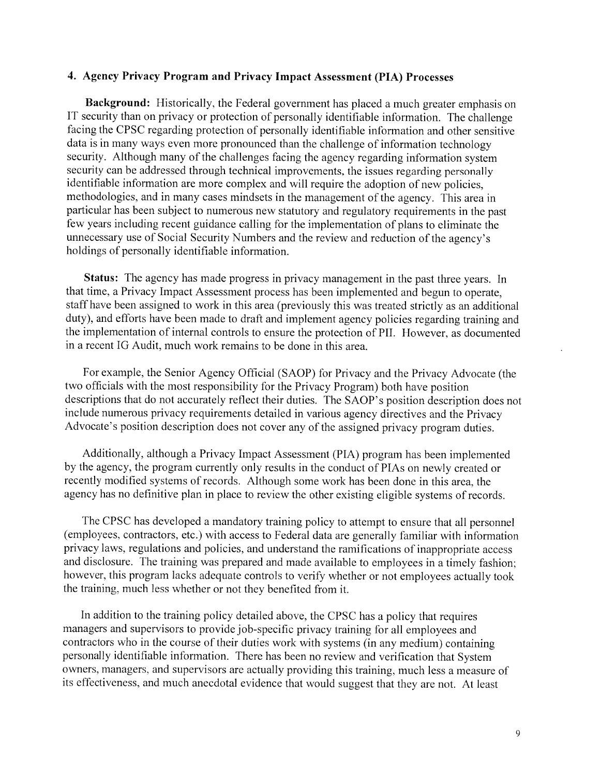#### 4. Agency Privacy Program and Privacy Impact Assessment (PIA) Processes

Background: Historically, the Federal government has placed a much greater emphasis on IT security than on privacy or protection of personally identifiable information. The challenge facing the CPSC regarding protection of personally identifiable information and other sensitive data is in many ways even more pronounced than the challenge of information technology security. Although many of the challenges facing the agency regarding information system security can be addressed through technical improvements, the issues regarding personally identifiable information are more complex and will require the adoption of new policies. methodologies, and in many cases mindsets in the management of the agency. This area in particular has been subject to numerous new statutory and regulatory requirements in the past few years including recent guidance calling for the implementation of plans to eliminate the unnecessary use of Social Security Numbers and the review and reduction of the agency's holdings of personally identifiable information.

Status: The agency has made progress in privacy management in the past three years. In that time, a Privacy Impact Assessment process has been implemented and begun to operate. staff have been assigned to work in this area (previously this was treated strictly as an additional duty), and efforts have been made to draft and implement agency policies regarding training and the implementation of internal controls to ensure the protection of PII. However, as documented in a recent IG Audit, much work remains to be done in this area.

For example, the Senior Agency Official (SAOP) for Privacy and the Privacy Advocate (the two officials with the most responsibility for the Privacy Program) both have position descriptions that do not accurately reflect their duties. The SAOP's position description does not include numerous privacy requirements detailed in various agency directives and the Privacy Advocate's position description does not cover any of the assigned privacy program duties.

Additionally, although a Privacy Impact Assessment (PIA) program has been implemented by the agency, the program currently only results in the conduct of PIAs on newly created or recently modified systems of records. Although some work has been done in this area, the agency has no definitive plan in place to review the other existing eligible systems of records.

The CPSC has developed a mandatory training policy to attempt to ensure that all personnel (employees, contractors, etc.) with access to Federal data are generally familiar with information privacy laws, regulations and policies, and understand the ramifications of inappropriate access and disclosure. The training was prepared and made available to employees in a timely fashion; however, this program lacks adequate controls to verify whether or not employees actually took the training, much less whether or not they benefited from it.

In addition to the training policy detailed above, the CPSC has a policy that requires managers and supervisors to provide job-specific privacy training for all employees and contractors who in the course of their duties work with systems (in any medium) containing personally identifiable information. There has been no review and verification that System owners, managers, and supervisors are actually providing this training, much less a measure of its effectiveness, and much anecdotal evidence that would suggest that they are not. At least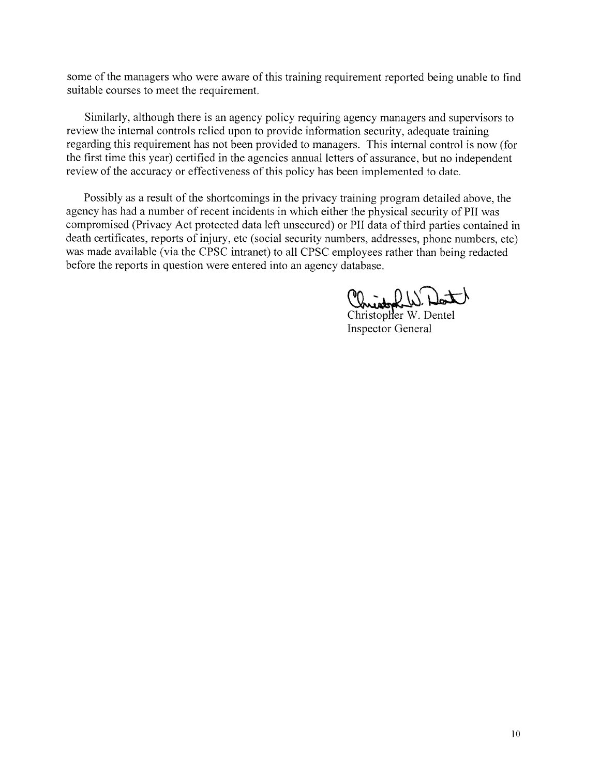some of the managers who were aware of this training requirement reported being unable to find suitable courses to meet the requirement.

Similarly, although there is an agency policy requiring agency managers and supervisors to review the internal controls relied upon to provide information security, adequate training regarding this requirement has not been provided to managers. This internal control is now (for the first time this year) certified in the agencies annual letters of assurance, but no independent review of the accuracy or effectiveness of this policy has been implemented to date.

Possibly as a result of the shortcomings in the privacy training program detailed above, the agency has had a number of recent incidents in which either the physical security of PII was compromised (Privacy Act protected data left unsecured) or PII data of third parties contained in death certificates, reports of injury, etc (social security numbers, addresses, phone numbers, etc) was made available (via the CPSC intranet) to all CPSC employees rather than being redacted before the reports in question were entered into an agency database.

Christopher W. Dort

**Inspector General**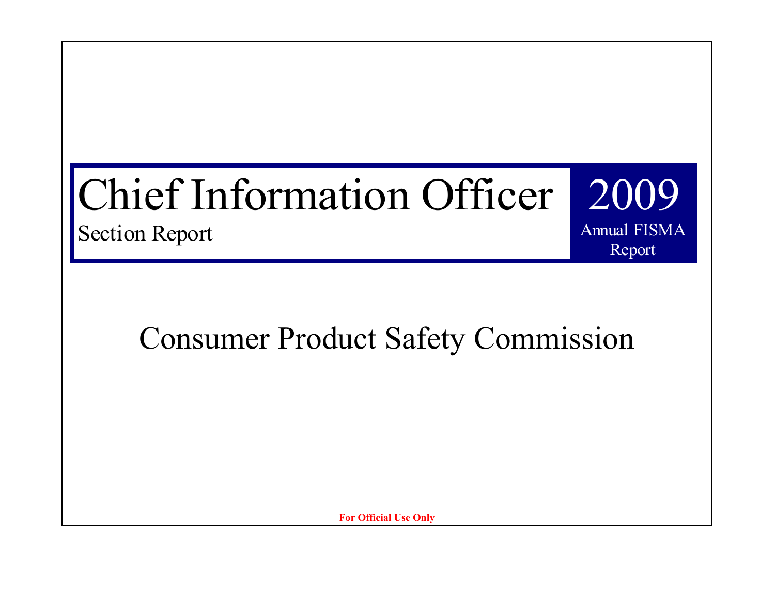# Chief Information Officer

Section Report

Consumer Product Safety Commission

2009

Annual FISMA

Report

**For Official Use Only**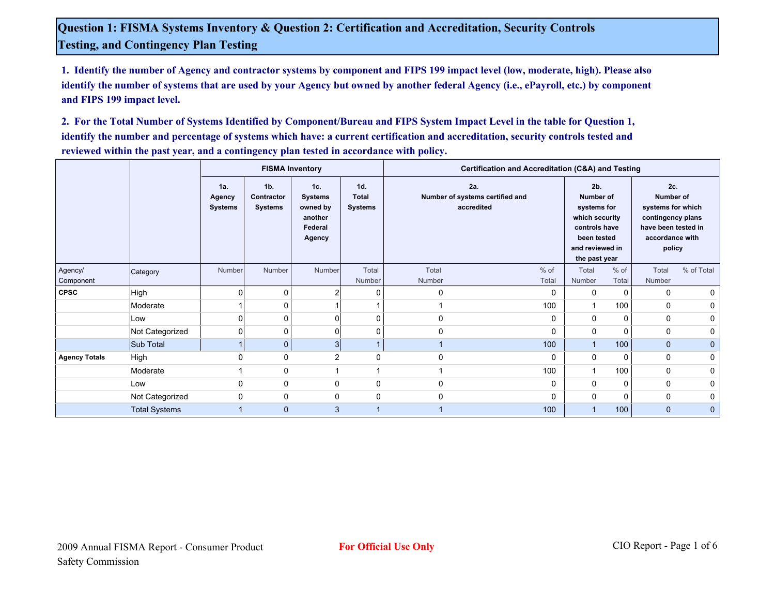**1. Identify the number of Agency and contractor systems by component and FIPS 199 impact level (low, moderate, high). Please also identify the number of systems that are used by your Agency but owned by another federal Agency (i.e., ePayroll, etc.) by component and FIPS 199 impact level.**

**2. For the Total Number of Systems Identified by Component/Bureau and FIPS System Impact Level in the table for Question 1, identify the number and percentage of systems which have: a current certification and accreditation, security controls tested and reviewed within the past year, and a contingency plan tested in accordance with policy.**

|                          |                      |                                 |                                                | <b>FISMA Inventory</b>                                            |                                       | Certification and Accreditation (C&A) and Testing    |                 |                 |                                                                                                                       |                 |                                                                                                                       |  |  |
|--------------------------|----------------------|---------------------------------|------------------------------------------------|-------------------------------------------------------------------|---------------------------------------|------------------------------------------------------|-----------------|-----------------|-----------------------------------------------------------------------------------------------------------------------|-----------------|-----------------------------------------------------------------------------------------------------------------------|--|--|
|                          |                      | 1a.<br>Agency<br><b>Systems</b> | 1 <sub>b</sub><br>Contractor<br><b>Systems</b> | 1c.<br><b>Systems</b><br>owned by<br>another<br>Federal<br>Agency | 1d.<br><b>Total</b><br><b>Systems</b> | 2a.<br>Number of systems certified and<br>accredited |                 | 2 <sub>b</sub>  | <b>Number of</b><br>systems for<br>which security<br>controls have<br>been tested<br>and reviewed in<br>the past year |                 | 2c.<br><b>Number of</b><br>systems for which<br>contingency plans<br>have been tested in<br>accordance with<br>policy |  |  |
| Agency/                  | Category             | <b>Number</b>                   | Number                                         | Number                                                            | Total<br>Number                       | Total<br>Number                                      | $%$ of<br>Total | Total<br>Number | $%$ of<br>Total                                                                                                       | Total<br>Number | % of Total                                                                                                            |  |  |
| Component<br><b>CPSC</b> | High                 |                                 | 0                                              |                                                                   | 0                                     | 0                                                    | 0               | 0               | 0                                                                                                                     | $\Omega$        | 0                                                                                                                     |  |  |
|                          | Moderate             |                                 | $\mathbf 0$                                    |                                                                   |                                       |                                                      | 100             | $\mathbf{1}$    | 100                                                                                                                   | $\Omega$        | 0                                                                                                                     |  |  |
|                          |                      |                                 | $\mathbf 0$                                    | $\Omega$                                                          | 0                                     |                                                      | 0               |                 | 0                                                                                                                     | 0               |                                                                                                                       |  |  |
|                          | Low                  |                                 |                                                |                                                                   |                                       | 0                                                    |                 | 0               |                                                                                                                       |                 | 0                                                                                                                     |  |  |
|                          | Not Categorized      |                                 | 0                                              | $\Omega$                                                          | 0                                     | $\Omega$                                             | 0               | 0               | 0                                                                                                                     | 0               | 0                                                                                                                     |  |  |
|                          | Sub Total            |                                 | $\mathbf{0}$                                   | 3                                                                 | $\overline{\mathbf{A}}$               |                                                      | 100             | $\overline{1}$  | 100                                                                                                                   | $\mathbf{0}$    | $\mathbf 0$                                                                                                           |  |  |
| <b>Agency Totals</b>     | High                 |                                 | $\mathbf 0$                                    | 2                                                                 | 0                                     | $\mathbf 0$                                          | 0               | 0               | 0                                                                                                                     | 0               | 0                                                                                                                     |  |  |
|                          | Moderate             |                                 | 0                                              |                                                                   | 1                                     |                                                      | 100             | $\overline{1}$  | 100                                                                                                                   | 0               | 0                                                                                                                     |  |  |
|                          | Low                  | $\Omega$                        | 0                                              | $\mathbf 0$                                                       | 0                                     | $\mathbf 0$                                          | 0               | 0               | 0                                                                                                                     | 0               | 0                                                                                                                     |  |  |
|                          | Not Categorized      | $\Omega$                        | $\mathbf 0$                                    | $\mathbf 0$                                                       | 0                                     | $\Omega$                                             | 0               | 0               | $\mathbf 0$                                                                                                           | 0               | 0                                                                                                                     |  |  |
|                          | <b>Total Systems</b> |                                 | $\mathbf{0}$                                   | 3                                                                 | 1                                     |                                                      | 100             | $\overline{1}$  | 100                                                                                                                   | $\mathbf{0}$    | $\mathbf 0$                                                                                                           |  |  |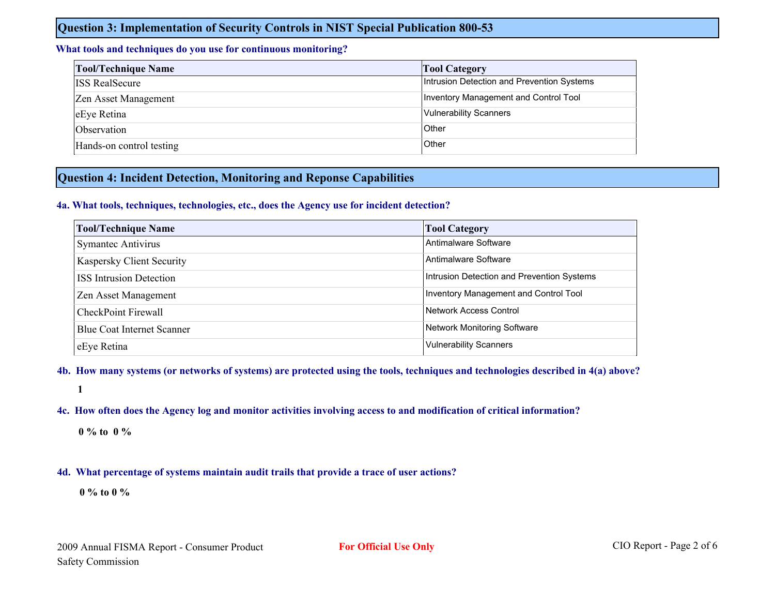#### **Question 3: Implementation of Security Controls in NIST Special Publication 800-53**

#### **What tools and techniques do you use for continuous monitoring?**

| <b>Tool/Technique Name</b> | <b>Tool Category</b>                       |
|----------------------------|--------------------------------------------|
| <b>ISS RealSecure</b>      | Intrusion Detection and Prevention Systems |
| Zen Asset Management       | Inventory Management and Control Tool      |
| eEye Retina                | <b>Vulnerability Scanners</b>              |
| Observation                | Other                                      |
| Hands-on control testing   | Other                                      |

#### **Question 4: Incident Detection, Monitoring and Reponse Capabilities**

#### **4a. What tools, techniques, technologies, etc., does the Agency use for incident detection?**

| <b>Tool/Technique Name</b>        | <b>Tool Category</b>                       |
|-----------------------------------|--------------------------------------------|
| <b>Symantec Antivirus</b>         | Antimalware Software                       |
| Kaspersky Client Security         | Antimalware Software                       |
| <b>ISS Intrusion Detection</b>    | Intrusion Detection and Prevention Systems |
| Zen Asset Management              | Inventory Management and Control Tool      |
| CheckPoint Firewall               | Network Access Control                     |
| <b>Blue Coat Internet Scanner</b> | Network Monitoring Software                |
| eEye Retina                       | <b>Vulnerability Scanners</b>              |

#### **4b. How many systems (or networks of systems) are protected using the tools, techniques and technologies described in 4(a) above?**

**1**

#### **4c. How often does the Agency log and monitor activities involving access to and modification of critical information?**

**0 % to 0 %**

#### **4d. What percentage of systems maintain audit trails that provide a trace of user actions?**

**0 % to 0 %**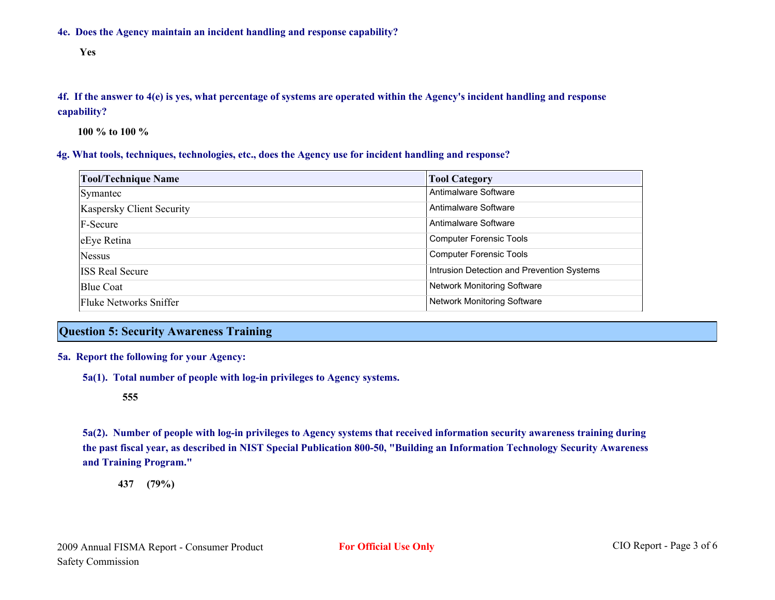**4e. Does the Agency maintain an incident handling and response capability?**

**Yes**

**4f. If the answer to 4(e) is yes, what percentage of systems are operated within the Agency's incident handling and response capability?**

**100 % to 100 %**

#### **4g. What tools, techniques, technologies, etc., does the Agency use for incident handling and response?**

| <b>Tool/Technique Name</b>       | <b>Tool Category</b>                       |
|----------------------------------|--------------------------------------------|
| Symantec                         | Antimalware Software                       |
| <b>Kaspersky Client Security</b> | Antimalware Software                       |
| F-Secure                         | Antimalware Software                       |
| eEye Retina                      | <b>Computer Forensic Tools</b>             |
| <b>Nessus</b>                    | <b>Computer Forensic Tools</b>             |
| <b>ISS Real Secure</b>           | Intrusion Detection and Prevention Systems |
| <b>Blue Coat</b>                 | Network Monitoring Software                |
| Fluke Networks Sniffer           | Network Monitoring Software                |

#### **Question 5: Security Awareness Training**

#### **5a. Report the following for your Agency:**

**5a(1). Total number of people with log-in privileges to Agency systems.**

#### **555**

**5a(2). Number of people with log-in privileges to Agency systems that received information security awareness training during the past fiscal year, as described in NIST Special Publication 800-50, "Building an Information Technology Security Awareness and Training Program."**

**437 (79%)**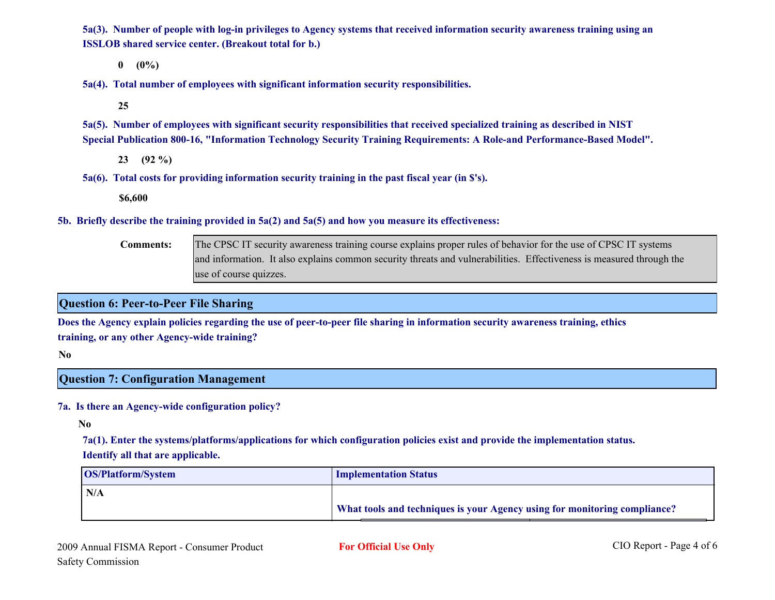**5a(3). Number of people with log-in privileges to Agency systems that received information security awareness training using an ISSLOB shared service center. (Breakout total for b.)**

**0 (0%)**

**5a(4). Total number of employees with significant information security responsibilities.**

**25**

**5a(5). Number of employees with significant security responsibilities that received specialized training as described in NIST Special Publication 800-16, "Information Technology Security Training Requirements: A Role-and Performance-Based Model".**

**23 (92 %)**

**5a(6). Total costs for providing information security training in the past fiscal year (in \$'s).**

**\$6,600**

**5b. Briefly describe the training provided in 5a(2) and 5a(5) and how you measure its effectiveness:**

The CPSC IT security awareness training course explains proper rules of behavior for the use of CPSC IT systems and information. It also explains common security threats and vulnerabilities. Effectiveness is measured through the use of course quizzes. **Comments:**

**Question 6: Peer-to-Peer File Sharing**

**Does the Agency explain policies regarding the use of peer-to-peer file sharing in information security awareness training, ethics training, or any other Agency-wide training?**

**No**

#### **Question 7: Configuration Management**

#### **7a. Is there an Agency-wide configuration policy?**

**No**

**7a(1). Enter the systems/platforms/applications for which configuration policies exist and provide the implementation status. Identify all that are applicable.**

| <b>OS/Platform/System</b> | <b>Implementation Status</b>                                              |
|---------------------------|---------------------------------------------------------------------------|
| $\mathsf{IN/A}$           |                                                                           |
|                           | What tools and techniques is your Agency using for monitoring compliance? |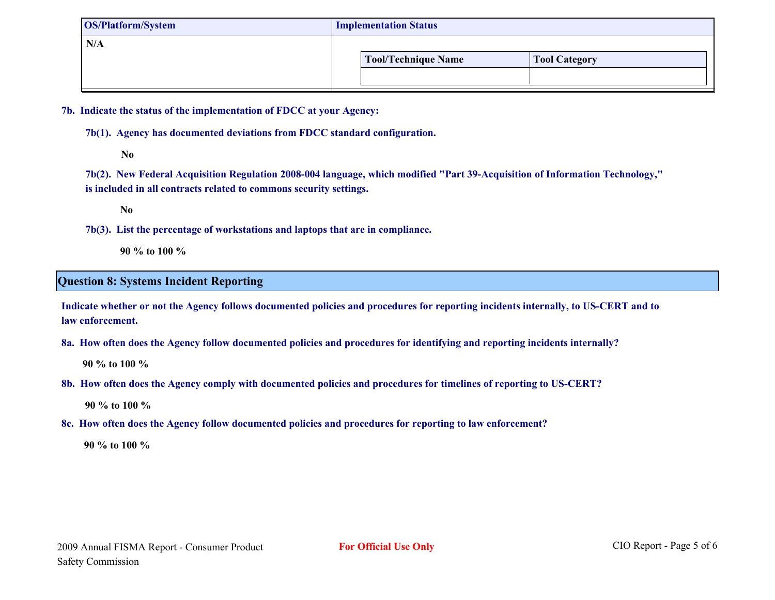| <b>OS/Platform/System</b> | <b>Implementation Status</b>                |  |  |  |  |  |  |  |
|---------------------------|---------------------------------------------|--|--|--|--|--|--|--|
| N/A                       | Tool/Technique Name<br><b>Tool Category</b> |  |  |  |  |  |  |  |
|                           |                                             |  |  |  |  |  |  |  |

**7b. Indicate the status of the implementation of FDCC at your Agency:**

**7b(1). Agency has documented deviations from FDCC standard configuration.**

**No**

**7b(2). New Federal Acquisition Regulation 2008-004 language, which modified "Part 39-Acquisition of Information Technology," is included in all contracts related to commons security settings.**

**No**

**7b(3). List the percentage of workstations and laptops that are in compliance.**

**90 % to 100 %**

#### **Question 8: Systems Incident Reporting**

**Indicate whether or not the Agency follows documented policies and procedures for reporting incidents internally, to US-CERT and to law enforcement.** 

**8a. How often does the Agency follow documented policies and procedures for identifying and reporting incidents internally?**

**90 % to 100 %**

**8b. How often does the Agency comply with documented policies and procedures for timelines of reporting to US-CERT?**

**90 % to 100 %**

**8c. How often does the Agency follow documented policies and procedures for reporting to law enforcement?**

**90 % to 100 %**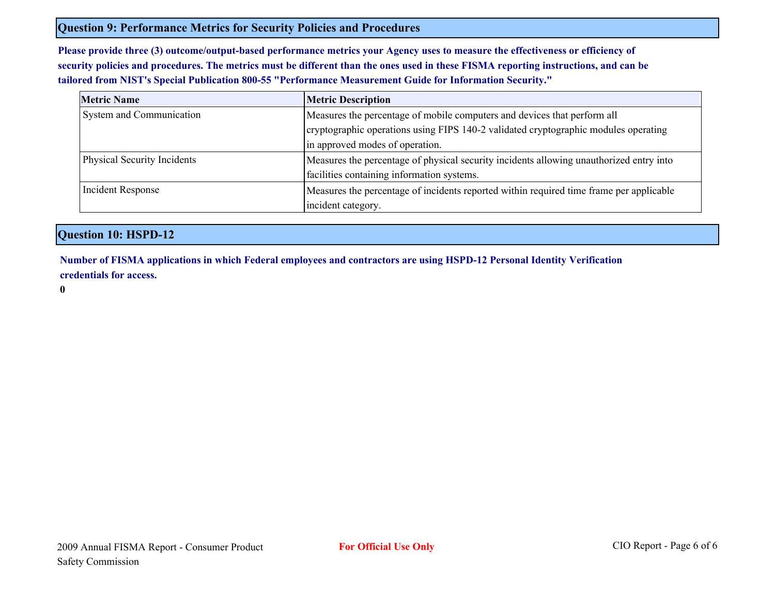#### **Question 9: Performance Metrics for Security Policies and Procedures**

**Please provide three (3) outcome/output-based performance metrics your Agency uses to measure the effectiveness or efficiency of security policies and procedures. The metrics must be different than the ones used in these FISMA reporting instructions, and can be tailored from NIST's Special Publication 800-55 "Performance Measurement Guide for Information Security."**

| <b>Metric Name</b>          | <b>Metric Description</b>                                                               |  |  |  |  |  |
|-----------------------------|-----------------------------------------------------------------------------------------|--|--|--|--|--|
| System and Communication    | Measures the percentage of mobile computers and devices that perform all                |  |  |  |  |  |
|                             | cryptographic operations using FIPS 140-2 validated cryptographic modules operating     |  |  |  |  |  |
|                             | in approved modes of operation.                                                         |  |  |  |  |  |
| Physical Security Incidents | Measures the percentage of physical security incidents allowing unauthorized entry into |  |  |  |  |  |
|                             | facilities containing information systems.                                              |  |  |  |  |  |
| Incident Response           | Measures the percentage of incidents reported within required time frame per applicable |  |  |  |  |  |
|                             | incident category.                                                                      |  |  |  |  |  |

#### **Question 10: HSPD-12**

**Number of FISMA applications in which Federal employees and contractors are using HSPD-12 Personal Identity Verification credentials for access.**

**0**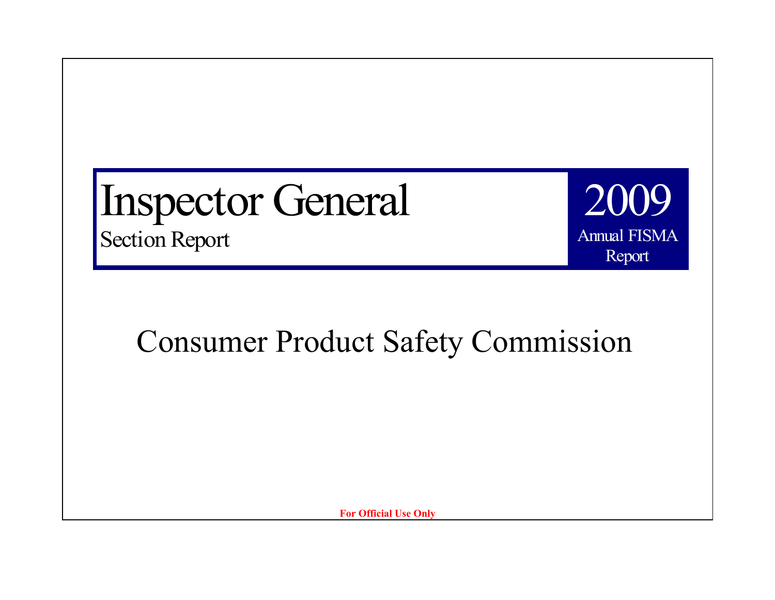Inspector General Section Report

**Annual FISMA** Annual FISMA 2009 Report

Consumer Product Safety Commission

**For Official Use Only**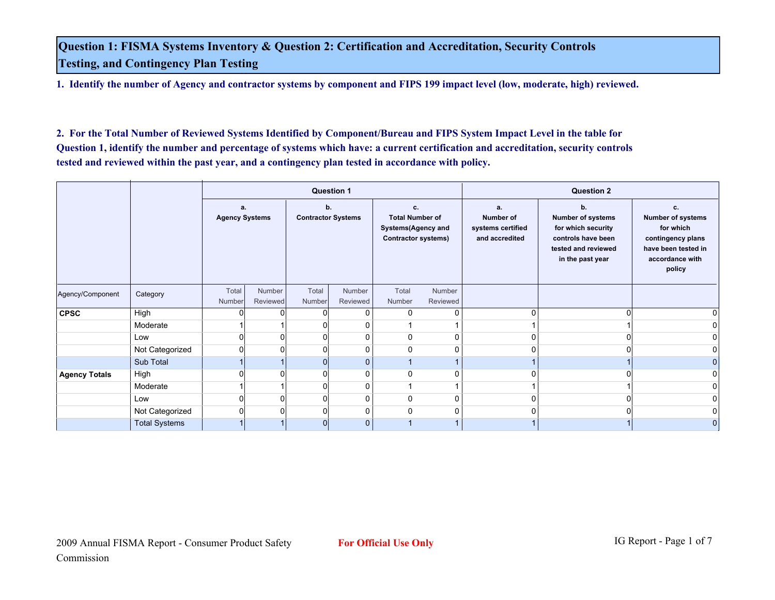**Question 1: FISMA Systems Inventory & Question 2: Certification and Accreditation, Security Controls Testing, and Contingency Plan Testing**

**1. Identify the number of Agency and contractor systems by component and FIPS 199 impact level (low, moderate, high) reviewed.**

**2. For the Total Number of Reviewed Systems Identified by Component/Bureau and FIPS System Impact Level in the table for Question 1, identify the number and percentage of systems which have: a current certification and accreditation, security controls tested and reviewed within the past year, and a contingency plan tested in accordance with policy.**

|                      |                      |                             |                    |                                 | <b>Question 1</b>  |                                                                                         |                    |                                                               | <b>Question 2</b>                                                                                                     |                                                                                                                      |
|----------------------|----------------------|-----------------------------|--------------------|---------------------------------|--------------------|-----------------------------------------------------------------------------------------|--------------------|---------------------------------------------------------------|-----------------------------------------------------------------------------------------------------------------------|----------------------------------------------------------------------------------------------------------------------|
|                      |                      | a.<br><b>Agency Systems</b> |                    | b.<br><b>Contractor Systems</b> |                    | c.<br><b>Total Number of</b><br><b>Systems(Agency and</b><br><b>Contractor systems)</b> |                    | a.<br><b>Number of</b><br>systems certified<br>and accredited | b.<br><b>Number of systems</b><br>for which security<br>controls have been<br>tested and reviewed<br>in the past year | c.<br><b>Number of systems</b><br>for which<br>contingency plans<br>have been tested in<br>accordance with<br>policy |
| Agency/Component     | Category             | Total<br><b>Number</b>      | Number<br>Reviewed | Total<br>Number                 | Number<br>Reviewed | Total<br>Number                                                                         | Number<br>Reviewed |                                                               |                                                                                                                       |                                                                                                                      |
| <b>CPSC</b>          | High                 |                             |                    | 0                               | 0                  | 0                                                                                       | $\mathbf{0}$       | $\Omega$                                                      | $\Omega$                                                                                                              |                                                                                                                      |
|                      | Moderate             |                             |                    |                                 | 0                  |                                                                                         |                    |                                                               |                                                                                                                       |                                                                                                                      |
|                      | Low                  |                             |                    | $\Omega$                        | 0                  | 0                                                                                       | 0                  | $\Omega$                                                      | n.                                                                                                                    |                                                                                                                      |
|                      | Not Categorized      |                             |                    | $\Omega$                        | 0                  | $\Omega$                                                                                | 0                  | $\Omega$                                                      | $\Omega$                                                                                                              |                                                                                                                      |
|                      | Sub Total            |                             |                    | $\overline{0}$                  | $\mathbf{0}$       |                                                                                         |                    |                                                               |                                                                                                                       |                                                                                                                      |
| <b>Agency Totals</b> | High                 |                             |                    | 0                               | 0                  | 0                                                                                       | 0                  | <sup>0</sup>                                                  |                                                                                                                       |                                                                                                                      |
|                      | Moderate             |                             |                    | 0                               | 0                  |                                                                                         |                    |                                                               |                                                                                                                       |                                                                                                                      |
|                      | Low                  |                             |                    | 0                               | 0                  | 0                                                                                       | 0                  | O                                                             |                                                                                                                       |                                                                                                                      |
|                      | Not Categorized      |                             |                    | $\Omega$                        | 0                  | $\Omega$                                                                                | 0                  | n                                                             |                                                                                                                       |                                                                                                                      |
|                      | <b>Total Systems</b> |                             |                    | $\overline{0}$                  | $\mathbf{0}$       |                                                                                         |                    |                                                               |                                                                                                                       | 0                                                                                                                    |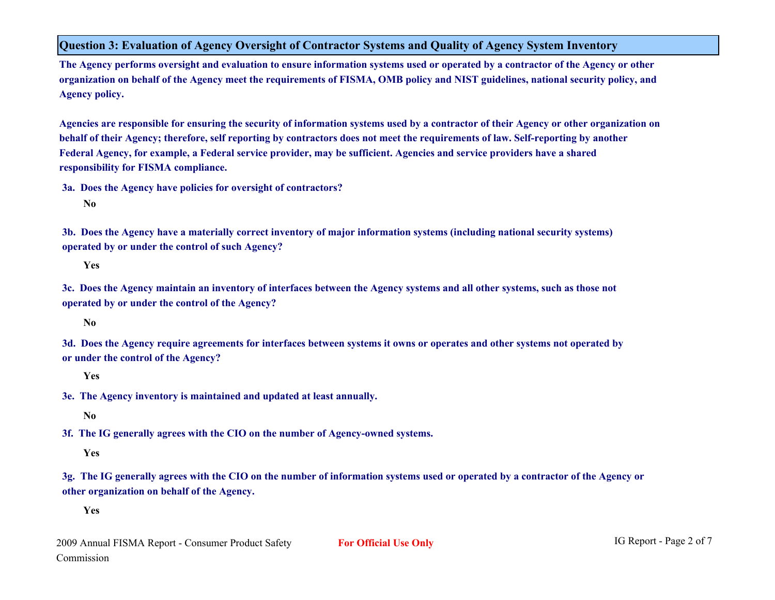**Question 3: Evaluation of Agency Oversight of Contractor Systems and Quality of Agency System Inventory**

**The Agency performs oversight and evaluation to ensure information systems used or operated by a contractor of the Agency or other organization on behalf of the Agency meet the requirements of FISMA, OMB policy and NIST guidelines, national security policy, and Agency policy.**

**Agencies are responsible for ensuring the security of information systems used by a contractor of their Agency or other organization on behalf of their Agency; therefore, self reporting by contractors does not meet the requirements of law. Self-reporting by another Federal Agency, for example, a Federal service provider, may be sufficient. Agencies and service providers have a shared responsibility for FISMA compliance.**

**3a. Does the Agency have policies for oversight of contractors?**

**No**

**3b. Does the Agency have a materially correct inventory of major information systems (including national security systems) operated by or under the control of such Agency?**

**Yes**

**3c. Does the Agency maintain an inventory of interfaces between the Agency systems and all other systems, such as those not operated by or under the control of the Agency?**

**No**

**3d. Does the Agency require agreements for interfaces between systems it owns or operates and other systems not operated by or under the control of the Agency?**

**Yes**

**3e. The Agency inventory is maintained and updated at least annually.**

**No**

**3f. The IG generally agrees with the CIO on the number of Agency-owned systems.**

**Yes**

**3g. The IG generally agrees with the CIO on the number of information systems used or operated by a contractor of the Agency or other organization on behalf of the Agency.**

**Yes**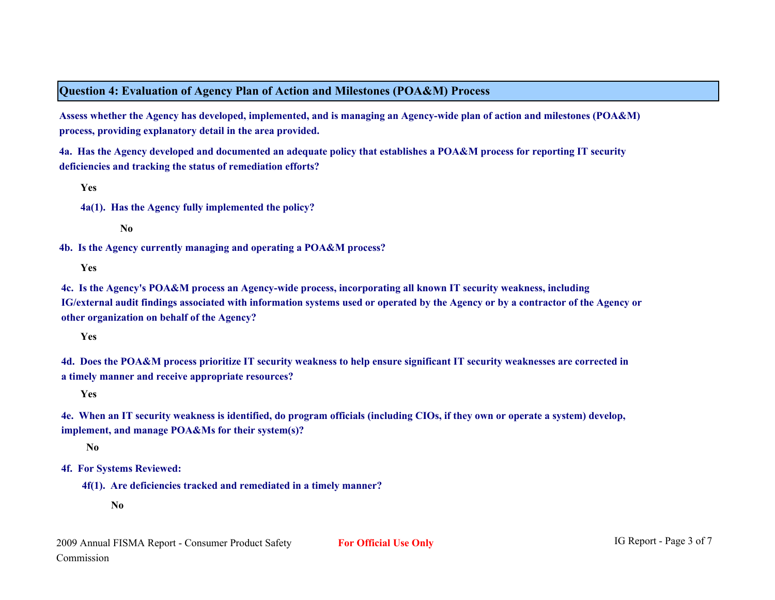#### **Question 4: Evaluation of Agency Plan of Action and Milestones (POA&M) Process**

**Assess whether the Agency has developed, implemented, and is managing an Agency-wide plan of action and milestones (POA&M) process, providing explanatory detail in the area provided.**

**4a. Has the Agency developed and documented an adequate policy that establishes a POA&M process for reporting IT security deficiencies and tracking the status of remediation efforts?**

**Yes**

**4a(1). Has the Agency fully implemented the policy?**

**No**

**4b. Is the Agency currently managing and operating a POA&M process?**

**Yes**

**4c. Is the Agency's POA&M process an Agency-wide process, incorporating all known IT security weakness, including IG/external audit findings associated with information systems used or operated by the Agency or by a contractor of the Agency or other organization on behalf of the Agency?**

**Yes**

**4d. Does the POA&M process prioritize IT security weakness to help ensure significant IT security weaknesses are corrected in a timely manner and receive appropriate resources?**

**Yes**

**4e. When an IT security weakness is identified, do program officials (including CIOs, if they own or operate a system) develop, implement, and manage POA&Ms for their system(s)?**

**No**

**4f. For Systems Reviewed:**

**4f(1). Are deficiencies tracked and remediated in a timely manner?** 

**No**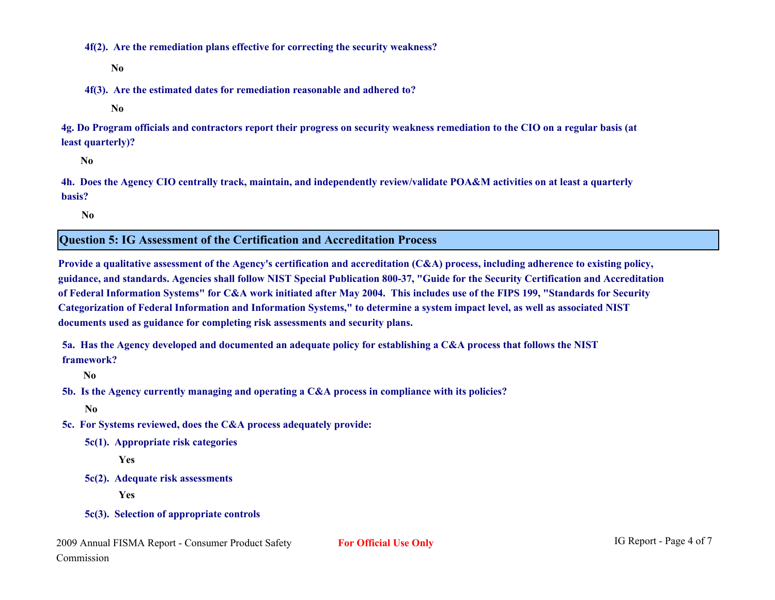**4f(2). Are the remediation plans effective for correcting the security weakness?**

**No**

**4f(3). Are the estimated dates for remediation reasonable and adhered to?**

**No**

**4g. Do Program officials and contractors report their progress on security weakness remediation to the CIO on a regular basis (at least quarterly)?**

**No**

**4h. Does the Agency CIO centrally track, maintain, and independently review/validate POA&M activities on at least a quarterly basis?**

**No**

**Question 5: IG Assessment of the Certification and Accreditation Process**

**Provide a qualitative assessment of the Agency's certification and accreditation (C&A) process, including adherence to existing policy, guidance, and standards. Agencies shall follow NIST Special Publication 800-37, "Guide for the Security Certification and Accreditation of Federal Information Systems" for C&A work initiated after May 2004. This includes use of the FIPS 199, "Standards for Security Categorization of Federal Information and Information Systems," to determine a system impact level, as well as associated NIST documents used as guidance for completing risk assessments and security plans.** 

**5a. Has the Agency developed and documented an adequate policy for establishing a C&A process that follows the NIST framework?**

**No**

**5b. Is the Agency currently managing and operating a C&A process in compliance with its policies?**

**No**

- **5c. For Systems reviewed, does the C&A process adequately provide:**
	- **5c(1). Appropriate risk categories**

**Yes**

**5c(2). Adequate risk assessments**

**Yes**

**5c(3). Selection of appropriate controls**

```
2009 Annual FISMA Report - Consumer Product Safety For Official Use Only IG Report - Page 4 of 7
Commission
```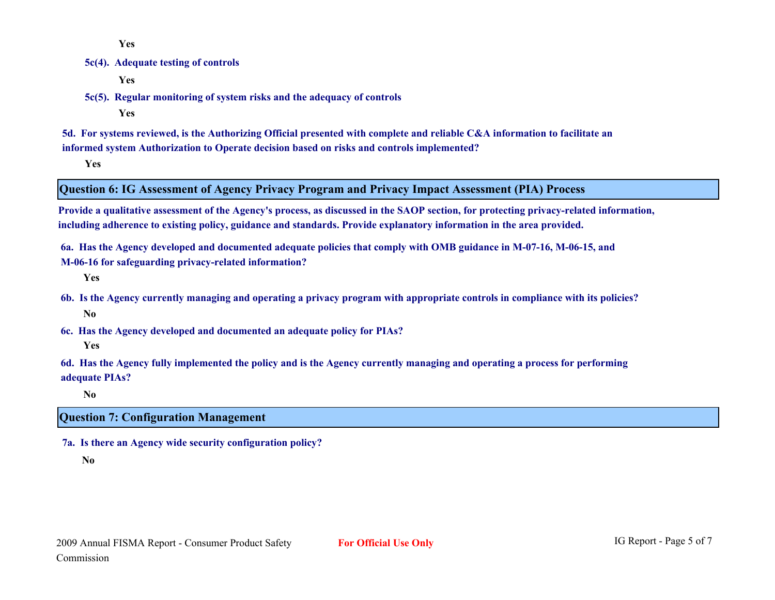**Yes**

#### **5c(4). Adequate testing of controls**

**Yes**

**5c(5). Regular monitoring of system risks and the adequacy of controls**

**Yes**

**5d. For systems reviewed, is the Authorizing Official presented with complete and reliable C&A information to facilitate an informed system Authorization to Operate decision based on risks and controls implemented?**

**Yes**

#### **Question 6: IG Assessment of Agency Privacy Program and Privacy Impact Assessment (PIA) Process**

**Provide a qualitative assessment of the Agency's process, as discussed in the SAOP section, for protecting privacy-related information, including adherence to existing policy, guidance and standards. Provide explanatory information in the area provided.**

**6a. Has the Agency developed and documented adequate policies that comply with OMB guidance in M-07-16, M-06-15, and M-06-16 for safeguarding privacy-related information?**

**Yes**

- **6b. Is the Agency currently managing and operating a privacy program with appropriate controls in compliance with its policies? No**
- **6c. Has the Agency developed and documented an adequate policy for PIAs? Yes**

**6d. Has the Agency fully implemented the policy and is the Agency currently managing and operating a process for performing adequate PIAs?**

**No**

#### **Question 7: Configuration Management**

**7a. Is there an Agency wide security configuration policy?**

**No**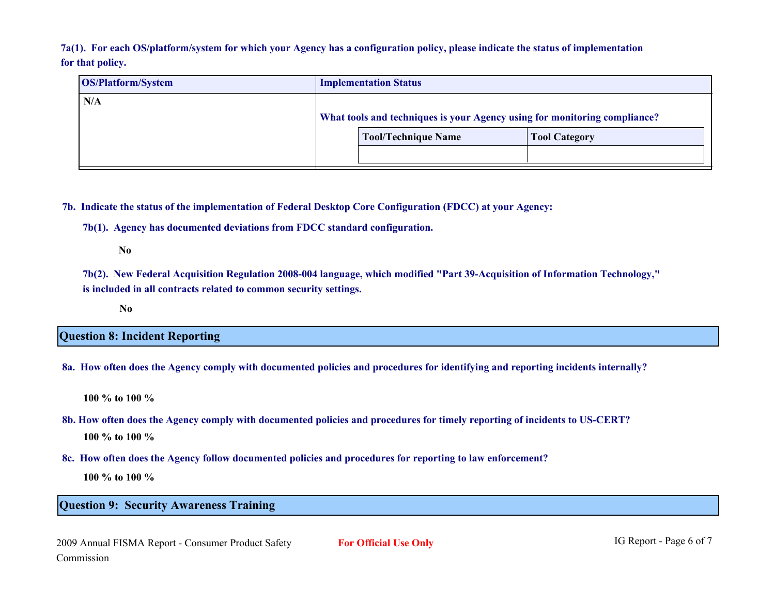**7a(1). For each OS/platform/system for which your Agency has a configuration policy, please indicate the status of implementation for that policy.**

| <b>OS/Platform/System</b> | <b>Implementation Status</b>                                                                            |                      |  |  |  |  |  |  |
|---------------------------|---------------------------------------------------------------------------------------------------------|----------------------|--|--|--|--|--|--|
| N/A                       | What tools and techniques is your Agency using for monitoring compliance?<br><b>Tool/Technique Name</b> | <b>Tool Category</b> |  |  |  |  |  |  |

**7b. Indicate the status of the implementation of Federal Desktop Core Configuration (FDCC) at your Agency:**

**7b(1). Agency has documented deviations from FDCC standard configuration.**

**No**

**7b(2). New Federal Acquisition Regulation 2008-004 language, which modified "Part 39-Acquisition of Information Technology," is included in all contracts related to common security settings.**

**No**

**Question 8: Incident Reporting**

**8a. How often does the Agency comply with documented policies and procedures for identifying and reporting incidents internally?**

**100 % to 100 %**

- **8b. How often does the Agency comply with documented policies and procedures for timely reporting of incidents to US-CERT? 100 % to 100 %**
- **8c. How often does the Agency follow documented policies and procedures for reporting to law enforcement?**

**100 % to 100 %**

#### **Question 9: Security Awareness Training**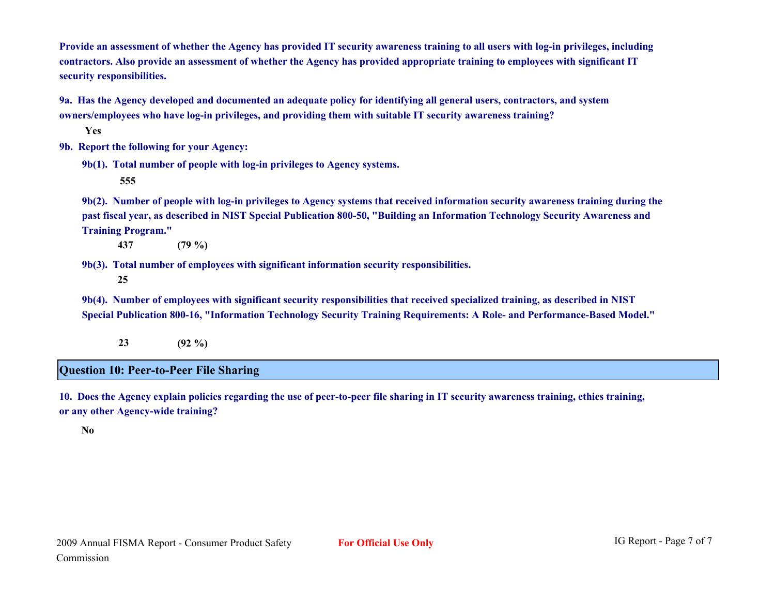**Provide an assessment of whether the Agency has provided IT security awareness training to all users with log-in privileges, including contractors. Also provide an assessment of whether the Agency has provided appropriate training to employees with significant IT security responsibilities.**

**9a. Has the Agency developed and documented an adequate policy for identifying all general users, contractors, and system owners/employees who have log-in privileges, and providing them with suitable IT security awareness training?**

**Yes**

**9b. Report the following for your Agency:**

**9b(1). Total number of people with log-in privileges to Agency systems.**

 **555**

**9b(2). Number of people with log-in privileges to Agency systems that received information security awareness training during the past fiscal year, as described in NIST Special Publication 800-50, "Building an Information Technology Security Awareness and Training Program."**

 **437 (79 %)**

**9b(3). Total number of employees with significant information security responsibilities.**

 **25**

**9b(4). Number of employees with significant security responsibilities that received specialized training, as described in NIST Special Publication 800-16, "Information Technology Security Training Requirements: A Role- and Performance-Based Model."**

 **23 (92 %)**

#### **Question 10: Peer-to-Peer File Sharing**

**10. Does the Agency explain policies regarding the use of peer-to-peer file sharing in IT security awareness training, ethics training, or any other Agency-wide training?**

**No**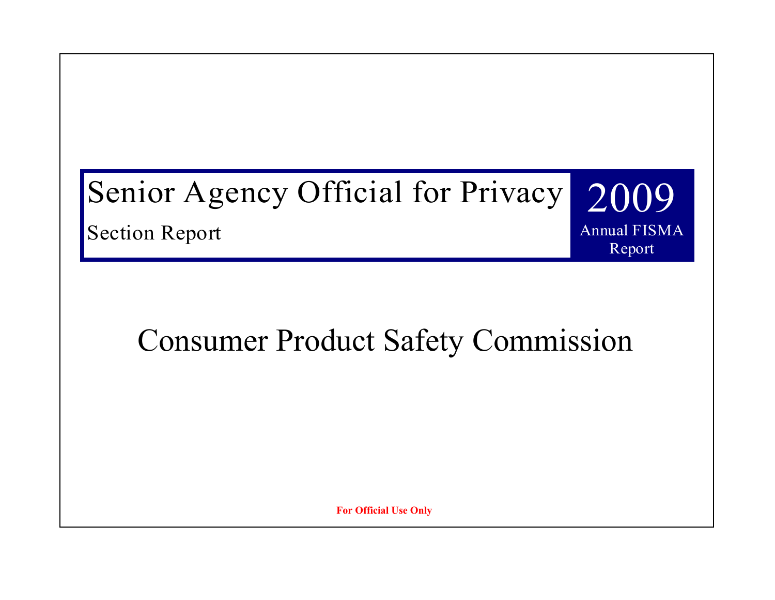# Senior Agency Official for Privacy 2009

Section Report

# Consumer Product Safety Commission

**Annual FISMA** Annual FISMA

Report

**For Official Use Only**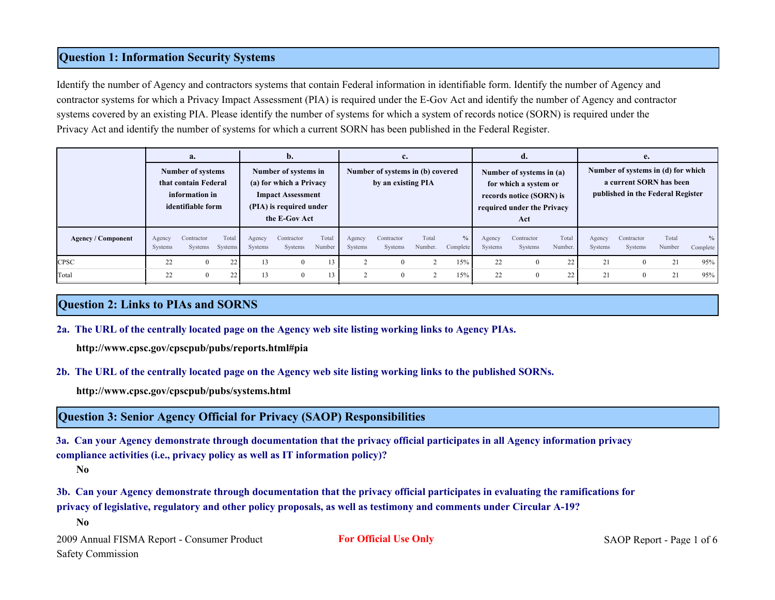#### **Question 1: Information Security Systems**

Identify the number of Agency and contractors systems that contain Federal information in identifiable form. Identify the number of Agency and contractor systems for which a Privacy Impact Assessment (PIA) is required under the E-Gov Act and identify the number of Agency and contractor systems covered by an existing PIA. Please identify the number of systems for which a system of records notice (SORN) is required under the Privacy Act and identify the number of systems for which a current SORN has been published in the Federal Register.

|                           | a.<br>Number of systems<br>that contain Federal<br>information in<br>identifiable form |                               |       | b.<br>Number of systems in<br>(a) for which a Privacy<br><b>Impact Assessment</b><br>(PIA) is required under<br>the E-Gov Act |                       |                 | c.<br>Number of systems in (b) covered<br>by an existing PIA |                       |                  |                  | d.<br>Number of systems in (a)<br>for which a system or<br>records notice (SORN) is<br>required under the Privacy<br>Act |                       |                  | e.<br>Number of systems in (d) for which<br>a current SORN has been<br>published in the Federal Register |                       |                 |                           |
|---------------------------|----------------------------------------------------------------------------------------|-------------------------------|-------|-------------------------------------------------------------------------------------------------------------------------------|-----------------------|-----------------|--------------------------------------------------------------|-----------------------|------------------|------------------|--------------------------------------------------------------------------------------------------------------------------|-----------------------|------------------|----------------------------------------------------------------------------------------------------------|-----------------------|-----------------|---------------------------|
| <b>Agency / Component</b> | Agency<br>Systems                                                                      | Contractor<br>Systems Systems | Total | Agency<br>Systems                                                                                                             | Contractor<br>Systems | Total<br>Number | Agency<br>Systems                                            | Contractor<br>Systems | Total<br>Number. | $\%$<br>Complete | Agency<br>Systems                                                                                                        | Contractor<br>Systems | Total<br>Number. | Agency<br>Systems                                                                                        | Contractor<br>Systems | Total<br>Number | $\frac{0}{0}$<br>Complete |
| <b>CPSC</b>               | 22                                                                                     |                               | 22    | 13                                                                                                                            | $\theta$              |                 |                                                              | $\Omega$              |                  | 15%              | 22                                                                                                                       | $\mathbf{0}$          | 22               | 21                                                                                                       | $\Omega$              | 21              | 95%                       |
| Total                     | 22                                                                                     |                               | 22    | 13                                                                                                                            | $\theta$              |                 |                                                              | $\Omega$              | $\sim$           | 15%              | 22                                                                                                                       | $\mathbf{0}$          | 22               | 21                                                                                                       | $\Omega$              | 21              | 95%                       |

#### **Question 2: Links to PIAs and SORNS**

**2a. The URL of the centrally located page on the Agency web site listing working links to Agency PIAs.**

**http://www.cpsc.gov/cpscpub/pubs/reports.html#pia**

**2b. The URL of the centrally located page on the Agency web site listing working links to the published SORNs.**

**http://www.cpsc.gov/cpscpub/pubs/systems.html**

#### **Question 3: Senior Agency Official for Privacy (SAOP) Responsibilities**

**3a. Can your Agency demonstrate through documentation that the privacy official participates in all Agency information privacy compliance activities (i.e., privacy policy as well as IT information policy)?**

**No**

**3b. Can your Agency demonstrate through documentation that the privacy official participates in evaluating the ramifications for privacy of legislative, regulatory and other policy proposals, as well as testimony and comments under Circular A-19?**

**No**

2009 Annual FISMA Report - Consumer Product **For Official Use Only** SAOP Report - Page 1 of 6 Safety Commission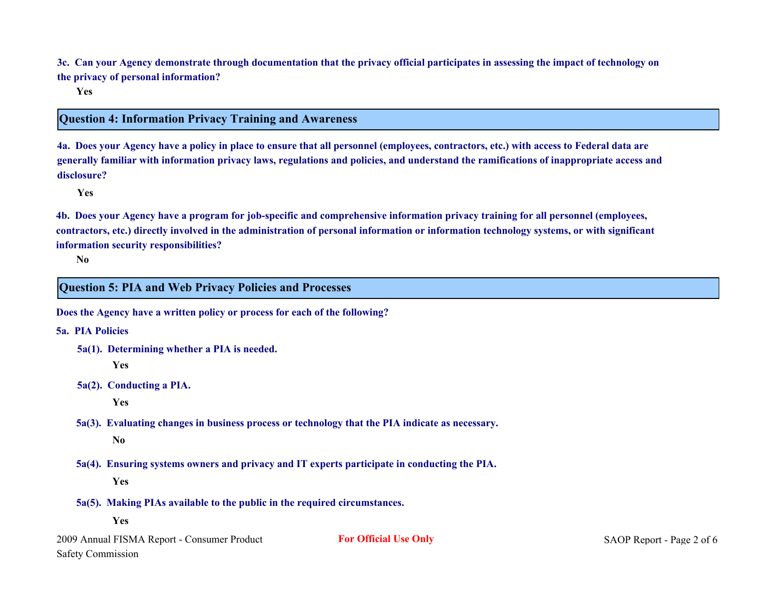**3c. Can your Agency demonstrate through documentation that the privacy official participates in assessing the impact of technology on the privacy of personal information?**

**Yes**

#### **Question 4: Information Privacy Training and Awareness**

**4a. Does your Agency have a policy in place to ensure that all personnel (employees, contractors, etc.) with access to Federal data are generally familiar with information privacy laws, regulations and policies, and understand the ramifications of inappropriate access and disclosure?**

**Yes**

**4b. Does your Agency have a program for job-specific and comprehensive information privacy training for all personnel (employees, contractors, etc.) directly involved in the administration of personal information or information technology systems, or with significant information security responsibilities?**

**No**

#### **Question 5: PIA and Web Privacy Policies and Processes**

**Does the Agency have a written policy or process for each of the following?**

**5a. PIA Policies**

**5a(1). Determining whether a PIA is needed.**

**Yes**

**5a(2). Conducting a PIA.**

**Yes**

**5a(3). Evaluating changes in business process or technology that the PIA indicate as necessary.**

**No**

**5a(4). Ensuring systems owners and privacy and IT experts participate in conducting the PIA.**

**Yes**

- **5a(5). Making PIAs available to the public in the required circumstances.**
	- **Yes**

2009 Annual FISMA Report - Consumer Product **For Official Use Only** SAOP Report - Page 2 of 6 Safety Commission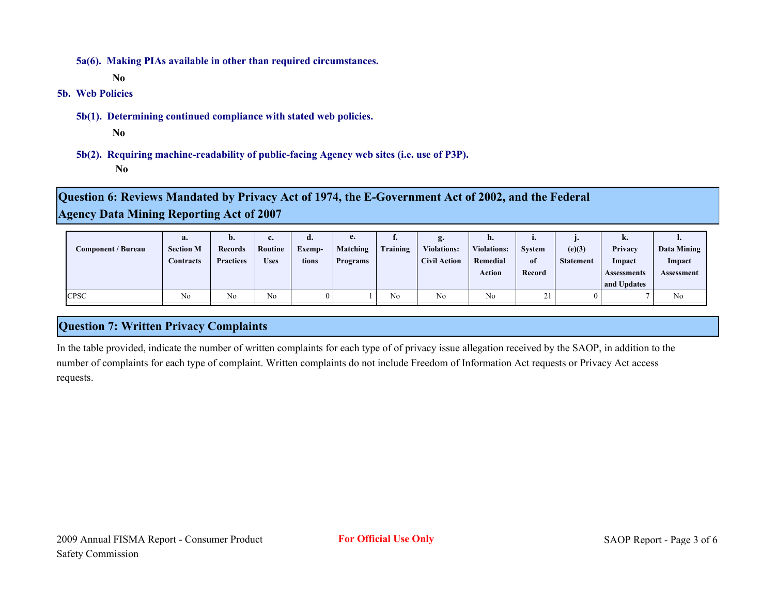**5a(6). Making PIAs available in other than required circumstances.**

**No**

**5b. Web Policies**

**5b(1). Determining continued compliance with stated web policies.**

**No**

**5b(2). Requiring machine-readability of public-facing Agency web sites (i.e. use of P3P). No**

**Question 6: Reviews Mandated by Privacy Act of 1974, the E-Government Act of 2002, and the Federal Agency Data Mining Reporting Act of 2007**

| Component / Bureau | a.<br><b>Section M</b><br>Contracts | $\mathbf{b}$ .<br><b>Records</b><br><b>Practices</b> | c.<br>Routine<br><b>Uses</b> | <b>a.</b><br>Exemp-<br>tions | e.<br>Matching<br>Programs | <br>Training | g.<br><b>Violations:</b><br><b>Civil Action</b> | n.<br><b>Violations:</b><br>Remedial<br><b>Action</b> | п.<br><b>System</b><br>of<br>Record | (e)(3)<br><b>Statement</b> | n.<br>Privacy<br>Impact<br><b>Assessments</b><br>and Updates | <br>Data Mining<br>Impact<br><b>Assessment</b> |
|--------------------|-------------------------------------|------------------------------------------------------|------------------------------|------------------------------|----------------------------|--------------|-------------------------------------------------|-------------------------------------------------------|-------------------------------------|----------------------------|--------------------------------------------------------------|------------------------------------------------|
| <b>CPSC</b>        | No                                  | No                                                   | No                           |                              |                            | No           | No                                              | No                                                    | 21                                  |                            |                                                              | N <sub>0</sub>                                 |

#### **Question 7: Written Privacy Complaints**

In the table provided, indicate the number of written complaints for each type of of privacy issue allegation received by the SAOP, in addition to the number of complaints for each type of complaint. Written complaints do not include Freedom of Information Act requests or Privacy Act access requests.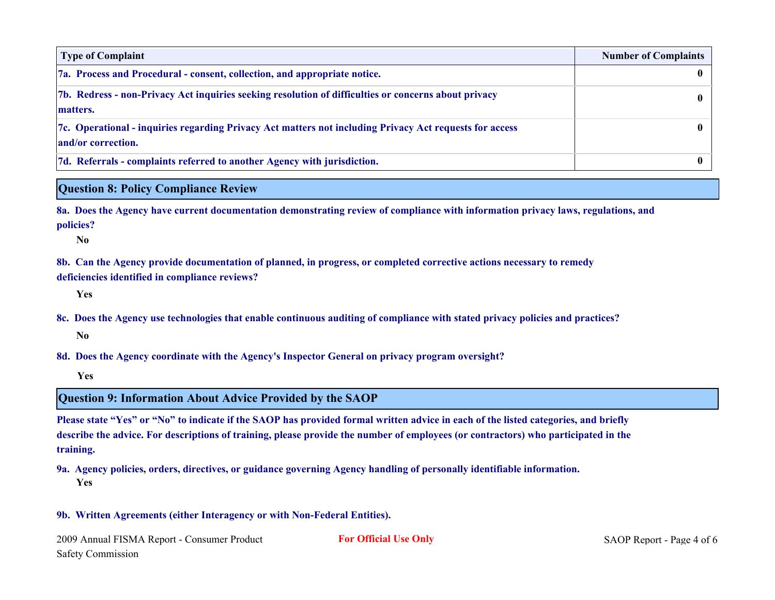| <b>Type of Complaint</b>                                                                                                      | <b>Number of Complaints</b> |
|-------------------------------------------------------------------------------------------------------------------------------|-----------------------------|
| 7a. Process and Procedural - consent, collection, and appropriate notice.                                                     |                             |
| 7b. Redress - non-Privacy Act inquiries seeking resolution of difficulties or concerns about privacy<br>matters.              |                             |
| 7c. Operational - inquiries regarding Privacy Act matters not including Privacy Act requests for access<br>and/or correction. |                             |
| 7d. Referrals - complaints referred to another Agency with jurisdiction.                                                      |                             |

#### **Question 8: Policy Compliance Review**

**8a. Does the Agency have current documentation demonstrating review of compliance with information privacy laws, regulations, and policies?**

**No**

**8b. Can the Agency provide documentation of planned, in progress, or completed corrective actions necessary to remedy deficiencies identified in compliance reviews?**

**Yes**

**8c. Does the Agency use technologies that enable continuous auditing of compliance with stated privacy policies and practices? No**

**8d. Does the Agency coordinate with the Agency's Inspector General on privacy program oversight?**

**Yes**

#### **Question 9: Information About Advice Provided by the SAOP**

**Please state "Yes" or "No" to indicate if the SAOP has provided formal written advice in each of the listed categories, and briefly describe the advice. For descriptions of training, please provide the number of employees (or contractors) who participated in the training.**

**9a. Agency policies, orders, directives, or guidance governing Agency handling of personally identifiable information. Yes**

#### **9b. Written Agreements (either Interagency or with Non-Federal Entities).**

2009 Annual FISMA Report - Consumer Product **For Official Use Only** SAOP Report - Page 4 of 6 Safety Commission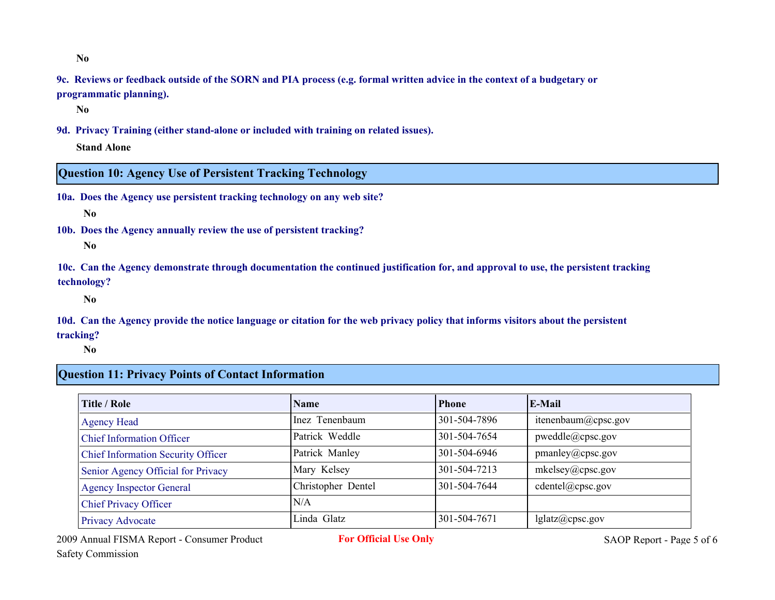**No**

**9c. Reviews or feedback outside of the SORN and PIA process (e.g. formal written advice in the context of a budgetary or programmatic planning).**

**No**

**9d. Privacy Training (either stand-alone or included with training on related issues).**

**Stand Alone**

#### **Question 10: Agency Use of Persistent Tracking Technology**

**10a. Does the Agency use persistent tracking technology on any web site?**

**No**

**10b. Does the Agency annually review the use of persistent tracking?**

**No**

**10c. Can the Agency demonstrate through documentation the continued justification for, and approval to use, the persistent tracking technology?**

**No**

**10d. Can the Agency provide the notice language or citation for the web privacy policy that informs visitors about the persistent tracking?**

**No**

#### **Question 11: Privacy Points of Contact Information**

| Title / Role                              | Name               | <b>Phone</b> | E-Mail              |
|-------------------------------------------|--------------------|--------------|---------------------|
| <b>Agency Head</b>                        | Inez Tenenbaum     | 301-504-7896 | itenenbaum@cpsc.gov |
| <b>Chief Information Officer</b>          | Patrick Weddle     | 301-504-7654 | pweddle@cpsc.gov    |
| <b>Chief Information Security Officer</b> | Patrick Manley     | 301-504-6946 | pmanley@cpsc.gov    |
| Senior Agency Official for Privacy        | Mary Kelsey        | 301-504-7213 | mkelsey@cpsc.gov    |
| <b>Agency Inspector General</b>           | Christopher Dentel | 301-504-7644 | cdentel@cpsc.gov    |
| <b>Chief Privacy Officer</b>              | N/A                |              |                     |
| Privacy Advocate                          | Linda Glatz        | 301-504-7671 | lglatz@cpsc.gov     |

2009 Annual FISMA Report - Consumer Product **For Official Use Only** SAOP Report - Page 5 of 6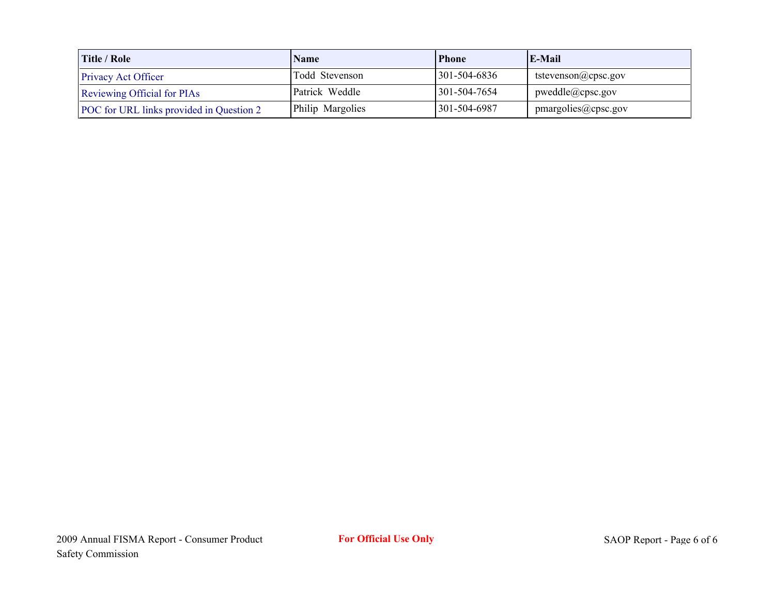| Title / Role                             | <b>Name</b>      | <b>Phone</b> | $E-Mail$                  |
|------------------------------------------|------------------|--------------|---------------------------|
| <b>Privacy Act Officer</b>               | Todd Stevenson   | 301-504-6836 | tstevenson@cpsc.gov       |
| Reviewing Official for PIAs              | Patrick Weddle   | 301-504-7654 | $p$ weddle $(a)$ cpsc.gov |
| POC for URL links provided in Question 2 | Philip Margolies | 301-504-6987 | pmargolies@cpsc.gov       |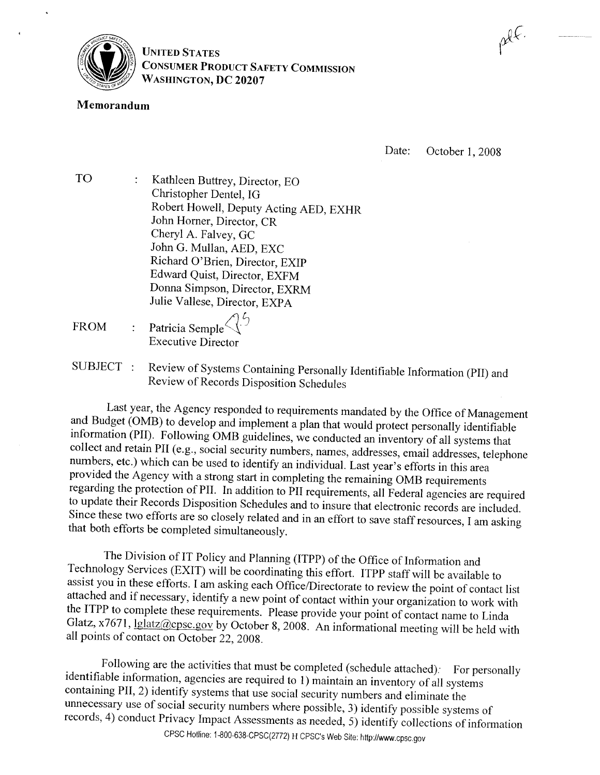

**UNITED STATES CONSUMER PRODUCT SAFETY COMMISSION** WASHINGTON, DC 20207

#### Memorandum

Date: October 1, 2008

płł.

- **TO** Kathleen Buttrey, Director, EO Christopher Dentel, IG Robert Howell, Deputy Acting AED, EXHR John Horner, Director, CR Cheryl A. Falvey, GC John G. Mullan, AED, EXC Richard O'Brien, Director, EXIP Edward Quist, Director, EXFM Donna Simpson, Director, EXRM Julie Vallese, Director, EXPA
- Patricia Semple **FROM Executive Director**
- Review of Systems Containing Personally Identifiable Information (PII) and SUBJECT : Review of Records Disposition Schedules

Last year, the Agency responded to requirements mandated by the Office of Management and Budget (OMB) to develop and implement a plan that would protect personally identifiable information (PII). Following OMB guidelines, we conducted an inventory of all systems that collect and retain PII (e.g., social security numbers, names, addresses, email addresses, telephone numbers, etc.) which can be used to identify an individual. Last year's efforts in this area provided the Agency with a strong start in completing the remaining OMB requirements regarding the protection of PII. In addition to PII requirements, all Federal agencies are required to update their Records Disposition Schedules and to insure that electronic records are included. Since these two efforts are so closely related and in an effort to save staff resources, I am asking that both efforts be completed simultaneously.

The Division of IT Policy and Planning (ITPP) of the Office of Information and Technology Services (EXIT) will be coordinating this effort. ITPP staff will be available to assist you in these efforts. I am asking each Office/Directorate to review the point of contact list attached and if necessary, identify a new point of contact within your organization to work with the ITPP to complete these requirements. Please provide your point of contact name to Linda Glatz, x7671, lglatz@cpsc.gov by October 8, 2008. An informational meeting will be held with all points of contact on October 22, 2008.

Following are the activities that must be completed (schedule attached): For personally identifiable information, agencies are required to 1) maintain an inventory of all systems containing PII, 2) identify systems that use social security numbers and eliminate the unnecessary use of social security numbers where possible, 3) identify possible systems of records, 4) conduct Privacy Impact Assessments as needed, 5) identify collections of information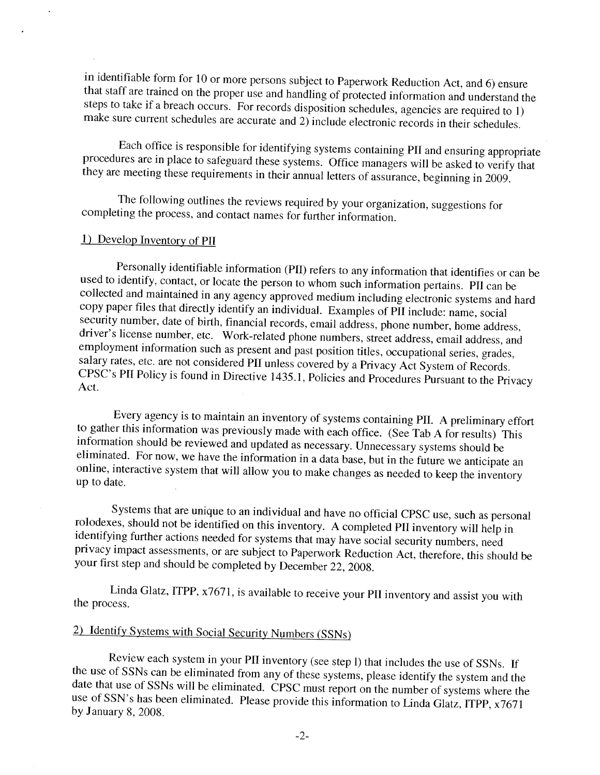in identifiable form for 10 or more persons subject to Paperwork Reduction Act, and 6) ensure that staff are trained on the proper use and handling of protected information and understand the steps to take if a breach occurs. For records disposition schedules, agencies are required to 1) make sure current schedules are accurate and 2) include electronic records in their schedules.

Each office is responsible for identifying systems containing PII and ensuring appropriate procedures are in place to safeguard these systems. Office managers will be asked to verify that they are meeting these requirements in their annual letters of assurance, beginning in 2009.

The following outlines the reviews required by your organization, suggestions for completing the process, and contact names for further information.

#### 1) Develop Inventory of PII

Personally identifiable information (PII) refers to any information that identifies or can be used to identify, contact, or locate the person to whom such information pertains. PII can be collected and maintained in any agency approved medium including electronic systems and hard copy paper files that directly identify an individual. Examples of PII include: name, social security number, date of birth, financial records, email address, phone number, home address, driver's license number, etc. Work-related phone numbers, street address, email address, and employment information such as present and past position titles, occupational series, grades, salary rates, etc. are not considered PII unless covered by a Privacy Act System of Records. CPSC's PII Policy is found in Directive 1435.1, Policies and Procedures Pursuant to the Privacy Act.

Every agency is to maintain an inventory of systems containing PII. A preliminary effort to gather this information was previously made with each office. (See Tab A for results) This information should be reviewed and updated as necessary. Unnecessary systems should be eliminated. For now, we have the information in a data base, but in the future we anticipate an online, interactive system that will allow you to make changes as needed to keep the inventory up to date.

Systems that are unique to an individual and have no official CPSC use, such as personal rolodexes, should not be identified on this inventory. A completed PII inventory will help in identifying further actions needed for systems that may have social security numbers, need privacy impact assessments, or are subject to Paperwork Reduction Act, therefore, this should be your first step and should be completed by December 22, 2008.

Linda Glatz, ITPP, x7671, is available to receive your PII inventory and assist you with the process.

# 2) Identify Systems with Social Security Numbers (SSNs)

Review each system in your PII inventory (see step I) that includes the use of SSNs. If the use of SSNs can be eliminated from any of these systems, please identify the system and the date that use of SSNs will be eliminated. CPSC must report on the number of systems where the use of SSN's has been eliminated. Please provide this information to Linda Glatz, ITPP, x7671 by January 8, 2008.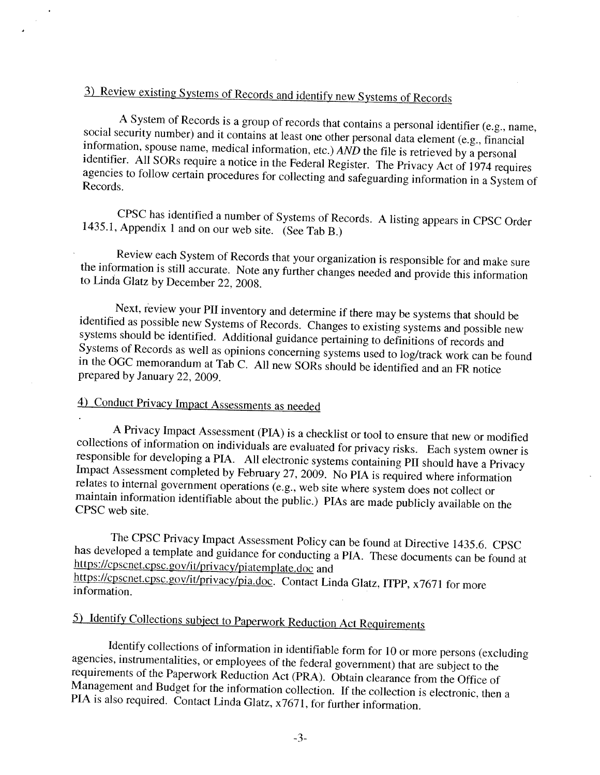# 3) Review existing Systems of Records and identify new Systems of Records

A System of Records is a group of records that contains a personal identifier (e.g., name, social security number) and it contains at least one other personal data element (e.g., financial information, spouse name, medical information, etc.)  $\angle AND$  the file is retrieved by a personal identifier. All SORs require a notice in the Federal Register. The Privacy Act of 1974 requires agencies to follow certain procedures for collecting and safeguarding information in a System of Records.

CPSC has identified a number of Systems of Records. A listing appears in CPSC Order 1435.1, Appendix 1 and on our web site. (See Tab B.)

Review each System of Records that your organization is responsible for and make sure the information is still accurate. Note any further changes needed and provide this information to Linda Glatz by December 22, 2008.

Next, review your PII inventory and determine if there may be systems that should be identified as possible new Systems of Records. Changes to existing systems and possible new systems should be identified. Additional guidance pertaining to definitions of records and Systems of Records as well as opinions concerning systems used to log/track work can be found in the OGC memorandum at Tab C. All new SORs should be identified and an FR notice prepared by January 22, 2009.

# 4) Conduct Privacy Impact Assessments as needed

A Privacy Impact Assessment (PIA) is a checklist or tool to ensure that new or modified collections of information on individuals are evaluated for privacy risks. Each system owner is responsible for developing a PIA. All electronic systems containing PII should have a Privacy Impact Assessment completed by February 27, 2009. No PIA is required where information relates to internal government operations (e.g., web site where system does not collect or maintain information identifiable about the public.) PIAs are made publicly available on the CPSC web site.

The CPSC Privacy Impact Assessment Policy can be found at Directive 1435.6. CPSC has developed a template and guidance for conducting a PIA. These documents can be found at https://cpscnet.cpsc.gov/it/privacy/piatemplate.doc and https://cpscnet.cpsc.gov/it/privacy/pia.doc. Contact Linda Glatz, ITPP, x7671 for more information.

# 5) Identify Collections subject to Paperwork Reduction Act Requirements

Identify collections of information in identifiable form for 10 or more persons (excluding agencies, instrumentalities, or employees of the federal government) that are subject to the requirements of the Paperwork Reduction Act (PRA). Obtain clearance from the Office of Management and Budget for the information collection. If the collection is electronic, then a PIA is also required. Contact Linda Glatz, x7671, for further information.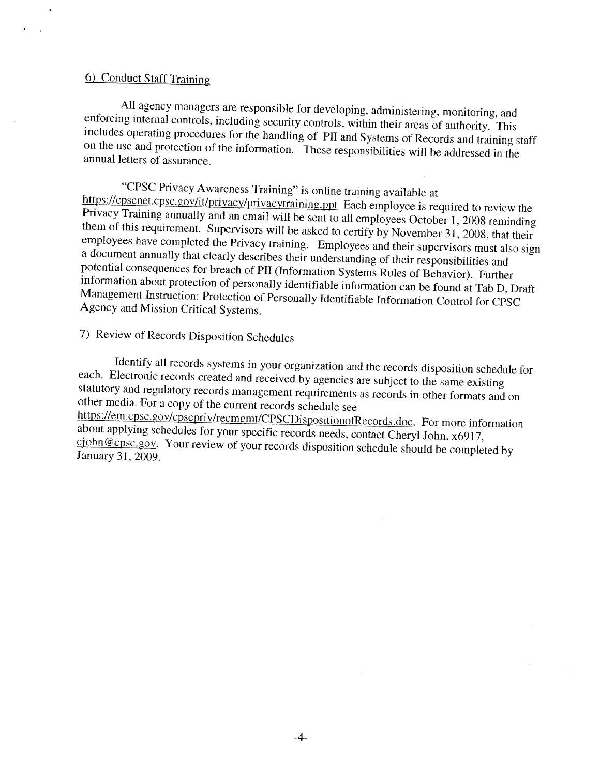#### 6) Conduct Staff Training

All agency managers are responsible for developing, administering, monitoring, and enforcing internal controls, including security controls, within their areas of authority. This includes operating procedures for the handling of PII and Systems of Records and training staff on the use and protection of the information. These responsibilities will be addressed in the annual letters of assurance.

"CPSC Privacy Awareness Training" is online training available at https://cpscnet.cpsc.gov/it/privacy/privacytraining.ppt Each employee is required to review the Privacy Training annually and an email will be sent to all employees October 1, 2008 reminding them of this requirement. Supervisors will be asked to certify by November 31, 2008, that their employees have completed the Privacy training. Employees and their supervisors must also sign a document annually that clearly describes their understanding of their responsibilities and potential consequences for breach of PII (Information Systems Rules of Behavior). Further information about protection of personally identifiable information can be found at Tab D, Draft Management Instruction: Protection of Personally Identifiable Information Control for CPSC Agency and Mission Critical Systems.

# 7) Review of Records Disposition Schedules

Identify all records systems in your organization and the records disposition schedule for each. Electronic records created and received by agencies are subject to the same existing statutory and regulatory records management requirements as records in other formats and on other media. For a copy of the current records schedule see https://em.cpsc.gov/cpscpriv/recmgmt/CPSCDispositionofRecords.doc. For more information about applying schedules for your specific records needs, contact Cheryl John, x6917, cjohn@cpsc.gov. Your review of your records disposition schedule should be completed by January 31, 2009.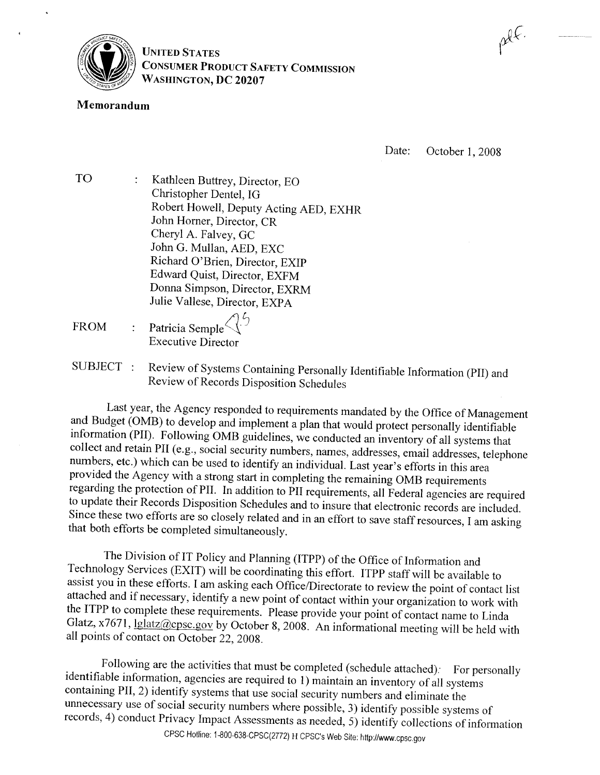

**UNITED STATES CONSUMER PRODUCT SAFETY COMMISSION** WASHINGTON, DC 20207

#### Memorandum

Date: October 1, 2008

płł.

- **TO** Kathleen Buttrey, Director, EO Christopher Dentel, IG Robert Howell, Deputy Acting AED, EXHR John Horner, Director, CR Cheryl A. Falvey, GC John G. Mullan, AED, EXC Richard O'Brien, Director, EXIP Edward Quist, Director, EXFM Donna Simpson, Director, EXRM Julie Vallese, Director, EXPA
- Patricia Semple **FROM Executive Director**
- Review of Systems Containing Personally Identifiable Information (PII) and SUBJECT : Review of Records Disposition Schedules

Last year, the Agency responded to requirements mandated by the Office of Management and Budget (OMB) to develop and implement a plan that would protect personally identifiable information (PII). Following OMB guidelines, we conducted an inventory of all systems that collect and retain PII (e.g., social security numbers, names, addresses, email addresses, telephone numbers, etc.) which can be used to identify an individual. Last year's efforts in this area provided the Agency with a strong start in completing the remaining OMB requirements regarding the protection of PII. In addition to PII requirements, all Federal agencies are required to update their Records Disposition Schedules and to insure that electronic records are included. Since these two efforts are so closely related and in an effort to save staff resources, I am asking that both efforts be completed simultaneously.

The Division of IT Policy and Planning (ITPP) of the Office of Information and Technology Services (EXIT) will be coordinating this effort. ITPP staff will be available to assist you in these efforts. I am asking each Office/Directorate to review the point of contact list attached and if necessary, identify a new point of contact within your organization to work with the ITPP to complete these requirements. Please provide your point of contact name to Linda Glatz, x7671, lglatz@cpsc.gov by October 8, 2008. An informational meeting will be held with all points of contact on October 22, 2008.

Following are the activities that must be completed (schedule attached): For personally identifiable information, agencies are required to 1) maintain an inventory of all systems containing PII, 2) identify systems that use social security numbers and eliminate the unnecessary use of social security numbers where possible, 3) identify possible systems of records, 4) conduct Privacy Impact Assessments as needed, 5) identify collections of information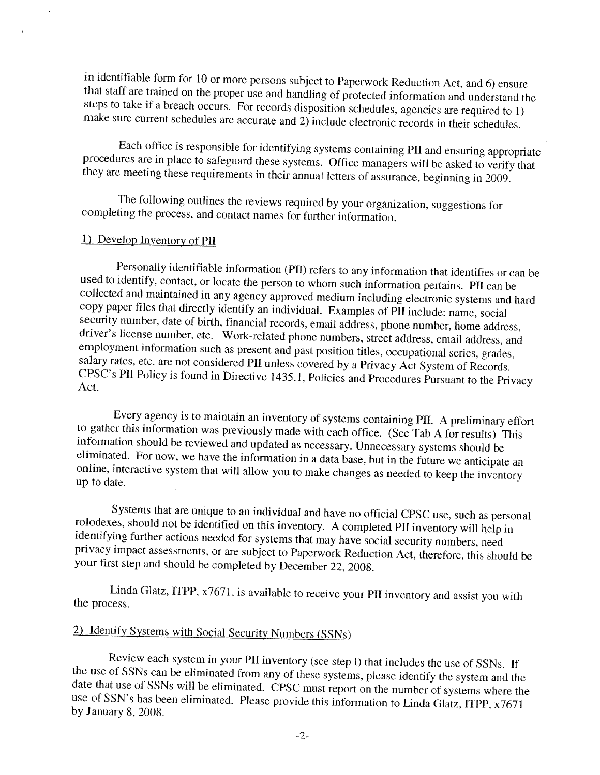in identifiable form for 10 or more persons subject to Paperwork Reduction Act, and 6) ensure that staff are trained on the proper use and handling of protected information and understand the steps to take if a breach occurs. For records disposition schedules, agencies are required to 1) make sure current schedules are accurate and 2) include electronic records in their schedules.

Each office is responsible for identifying systems containing PII and ensuring appropriate procedures are in place to safeguard these systems. Office managers will be asked to verify that they are meeting these requirements in their annual letters of assurance, beginning in 2009.

The following outlines the reviews required by your organization, suggestions for completing the process, and contact names for further information.

#### 1) Develop Inventory of PII

Personally identifiable information (PII) refers to any information that identifies or can be used to identify, contact, or locate the person to whom such information pertains. PII can be collected and maintained in any agency approved medium including electronic systems and hard copy paper files that directly identify an individual. Examples of PII include: name, social security number, date of birth, financial records, email address, phone number, home address, driver's license number, etc. Work-related phone numbers, street address, email address, and employment information such as present and past position titles, occupational series, grades, salary rates, etc. are not considered PII unless covered by a Privacy Act System of Records. CPSC's PII Policy is found in Directive 1435.1, Policies and Procedures Pursuant to the Privacy Act.

Every agency is to maintain an inventory of systems containing PII. A preliminary effort to gather this information was previously made with each office. (See Tab A for results) This information should be reviewed and updated as necessary. Unnecessary systems should be eliminated. For now, we have the information in a data base, but in the future we anticipate an online, interactive system that will allow you to make changes as needed to keep the inventory up to date.

Systems that are unique to an individual and have no official CPSC use, such as personal rolodexes, should not be identified on this inventory. A completed PII inventory will help in identifying further actions needed for systems that may have social security numbers, need privacy impact assessments, or are subject to Paperwork Reduction Act, therefore, this should be your first step and should be completed by December 22, 2008.

Linda Glatz, ITPP, x7671, is available to receive your PII inventory and assist you with the process.

# 2) Identify Systems with Social Security Numbers (SSNs)

Review each system in your PII inventory (see step I) that includes the use of SSNs. If the use of SSNs can be eliminated from any of these systems, please identify the system and the date that use of SSNs will be eliminated. CPSC must report on the number of systems where the use of SSN's has been eliminated. Please provide this information to Linda Glatz, ITPP, x7671 by January 8, 2008.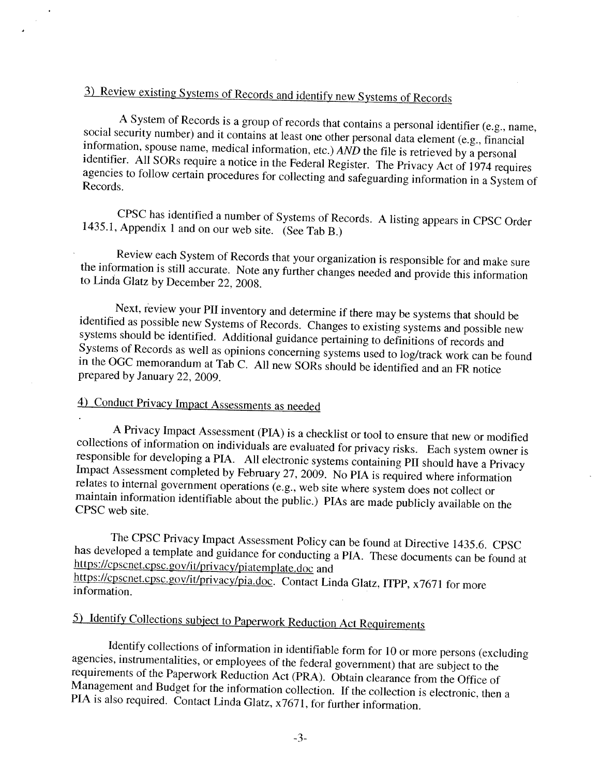# 3) Review existing Systems of Records and identify new Systems of Records

A System of Records is a group of records that contains a personal identifier (e.g., name, social security number) and it contains at least one other personal data element (e.g., financial information, spouse name, medical information, etc.)  $\angle AND$  the file is retrieved by a personal identifier. All SORs require a notice in the Federal Register. The Privacy Act of 1974 requires agencies to follow certain procedures for collecting and safeguarding information in a System of Records.

CPSC has identified a number of Systems of Records. A listing appears in CPSC Order 1435.1, Appendix 1 and on our web site. (See Tab B.)

Review each System of Records that your organization is responsible for and make sure the information is still accurate. Note any further changes needed and provide this information to Linda Glatz by December 22, 2008.

Next, review your PII inventory and determine if there may be systems that should be identified as possible new Systems of Records. Changes to existing systems and possible new systems should be identified. Additional guidance pertaining to definitions of records and Systems of Records as well as opinions concerning systems used to log/track work can be found in the OGC memorandum at Tab C. All new SORs should be identified and an FR notice prepared by January 22, 2009.

# 4) Conduct Privacy Impact Assessments as needed

A Privacy Impact Assessment (PIA) is a checklist or tool to ensure that new or modified collections of information on individuals are evaluated for privacy risks. Each system owner is responsible for developing a PIA. All electronic systems containing PII should have a Privacy Impact Assessment completed by February 27, 2009. No PIA is required where information relates to internal government operations (e.g., web site where system does not collect or maintain information identifiable about the public.) PIAs are made publicly available on the CPSC web site.

The CPSC Privacy Impact Assessment Policy can be found at Directive 1435.6. CPSC has developed a template and guidance for conducting a PIA. These documents can be found at https://cpscnet.cpsc.gov/it/privacy/piatemplate.doc and https://cpscnet.cpsc.gov/it/privacy/pia.doc. Contact Linda Glatz, ITPP, x7671 for more information.

# 5) Identify Collections subject to Paperwork Reduction Act Requirements

Identify collections of information in identifiable form for 10 or more persons (excluding agencies, instrumentalities, or employees of the federal government) that are subject to the requirements of the Paperwork Reduction Act (PRA). Obtain clearance from the Office of Management and Budget for the information collection. If the collection is electronic, then a PIA is also required. Contact Linda Glatz, x7671, for further information.